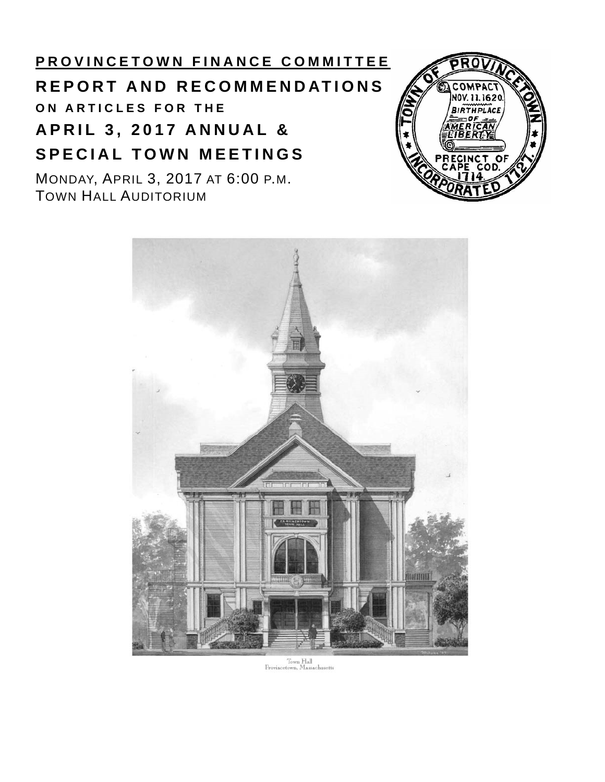## **PROVINCETOWN FINANCE COMMITTEE REPORT AND RECOMMENDATIONS ON ARTICLES FOR THE APRIL 3, 2017 ANNUAL & SPECIAL TOWN MEETINGS**

MONDAY, APRIL 3, 2017 AT 6:00 P.M. TOWN HALL AUDITORIUM





.<br>Provincetown, Massachusetts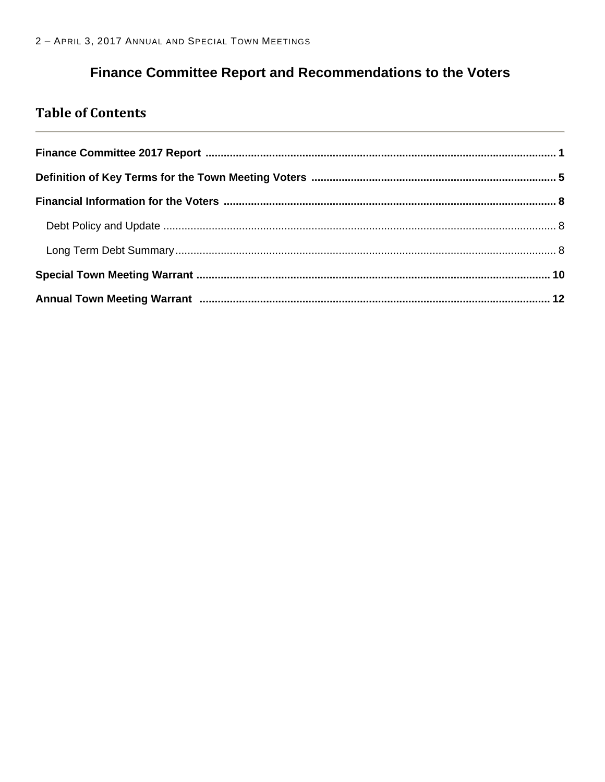## Finance Committee Report and Recommendations to the Voters

## **Table of Contents**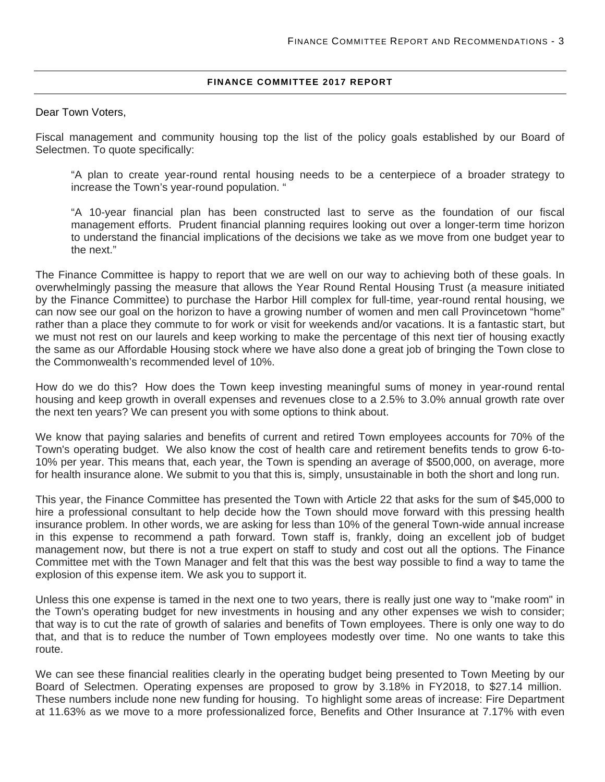#### **FINANCE COMMITTEE 2017 REPORT**

Dear Town Voters,

Fiscal management and community housing top the list of the policy goals established by our Board of Selectmen. To quote specifically:

"A plan to create year-round rental housing needs to be a centerpiece of a broader strategy to increase the Town's year-round population. "

"A 10-year financial plan has been constructed last to serve as the foundation of our fiscal management efforts. Prudent financial planning requires looking out over a longer-term time horizon to understand the financial implications of the decisions we take as we move from one budget year to the next."

The Finance Committee is happy to report that we are well on our way to achieving both of these goals. In overwhelmingly passing the measure that allows the Year Round Rental Housing Trust (a measure initiated by the Finance Committee) to purchase the Harbor Hill complex for full-time, year-round rental housing, we can now see our goal on the horizon to have a growing number of women and men call Provincetown "home" rather than a place they commute to for work or visit for weekends and/or vacations. It is a fantastic start, but we must not rest on our laurels and keep working to make the percentage of this next tier of housing exactly the same as our Affordable Housing stock where we have also done a great job of bringing the Town close to the Commonwealth's recommended level of 10%.

How do we do this? How does the Town keep investing meaningful sums of money in year-round rental housing and keep growth in overall expenses and revenues close to a 2.5% to 3.0% annual growth rate over the next ten years? We can present you with some options to think about.

We know that paying salaries and benefits of current and retired Town employees accounts for 70% of the Town's operating budget. We also know the cost of health care and retirement benefits tends to grow 6-to-10% per year. This means that, each year, the Town is spending an average of \$500,000, on average, more for health insurance alone. We submit to you that this is, simply, unsustainable in both the short and long run.

This year, the Finance Committee has presented the Town with Article 22 that asks for the sum of \$45,000 to hire a professional consultant to help decide how the Town should move forward with this pressing health insurance problem. In other words, we are asking for less than 10% of the general Town-wide annual increase in this expense to recommend a path forward. Town staff is, frankly, doing an excellent job of budget management now, but there is not a true expert on staff to study and cost out all the options. The Finance Committee met with the Town Manager and felt that this was the best way possible to find a way to tame the explosion of this expense item. We ask you to support it.

Unless this one expense is tamed in the next one to two years, there is really just one way to "make room" in the Town's operating budget for new investments in housing and any other expenses we wish to consider; that way is to cut the rate of growth of salaries and benefits of Town employees. There is only one way to do that, and that is to reduce the number of Town employees modestly over time. No one wants to take this route.

We can see these financial realities clearly in the operating budget being presented to Town Meeting by our Board of Selectmen. Operating expenses are proposed to grow by 3.18% in FY2018, to \$27.14 million. These numbers include none new funding for housing. To highlight some areas of increase: Fire Department at 11.63% as we move to a more professionalized force, Benefits and Other Insurance at 7.17% with even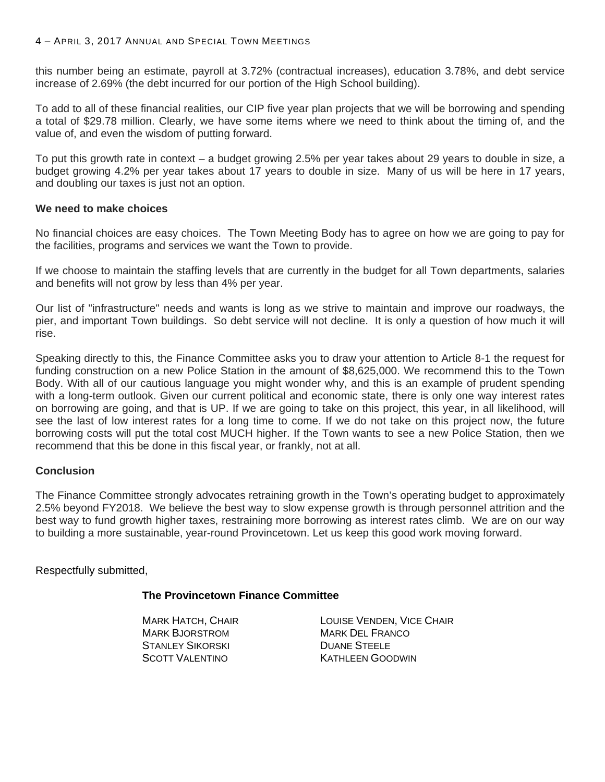#### 4 – APRIL 3, 2017 ANNUAL AND SPECIAL TOWN MEETINGS

this number being an estimate, payroll at 3.72% (contractual increases), education 3.78%, and debt service increase of 2.69% (the debt incurred for our portion of the High School building).

To add to all of these financial realities, our CIP five year plan projects that we will be borrowing and spending a total of \$29.78 million. Clearly, we have some items where we need to think about the timing of, and the value of, and even the wisdom of putting forward.

To put this growth rate in context – a budget growing 2.5% per year takes about 29 years to double in size, a budget growing 4.2% per year takes about 17 years to double in size. Many of us will be here in 17 years, and doubling our taxes is just not an option.

#### **We need to make choices**

No financial choices are easy choices. The Town Meeting Body has to agree on how we are going to pay for the facilities, programs and services we want the Town to provide.

If we choose to maintain the staffing levels that are currently in the budget for all Town departments, salaries and benefits will not grow by less than 4% per year.

Our list of "infrastructure" needs and wants is long as we strive to maintain and improve our roadways, the pier, and important Town buildings. So debt service will not decline. It is only a question of how much it will rise.

Speaking directly to this, the Finance Committee asks you to draw your attention to Article 8-1 the request for funding construction on a new Police Station in the amount of \$8,625,000. We recommend this to the Town Body. With all of our cautious language you might wonder why, and this is an example of prudent spending with a long-term outlook. Given our current political and economic state, there is only one way interest rates on borrowing are going, and that is UP. If we are going to take on this project, this year, in all likelihood, will see the last of low interest rates for a long time to come. If we do not take on this project now, the future borrowing costs will put the total cost MUCH higher. If the Town wants to see a new Police Station, then we recommend that this be done in this fiscal year, or frankly, not at all.

#### **Conclusion**

The Finance Committee strongly advocates retraining growth in the Town's operating budget to approximately 2.5% beyond FY2018. We believe the best way to slow expense growth is through personnel attrition and the best way to fund growth higher taxes, restraining more borrowing as interest rates climb. We are on our way to building a more sustainable, year-round Provincetown. Let us keep this good work moving forward.

Respectfully submitted,

#### **The Provincetown Finance Committee**

MARK BJORSTROM MARK DEL FRANCO STANLEY SIKORSKI DUANE STEELE

MARK HATCH, CHAIR **Example 20 LOUISE VENDEN, VICE CHAIR** SCOTT VALENTINO KATHLEEN GOODWIN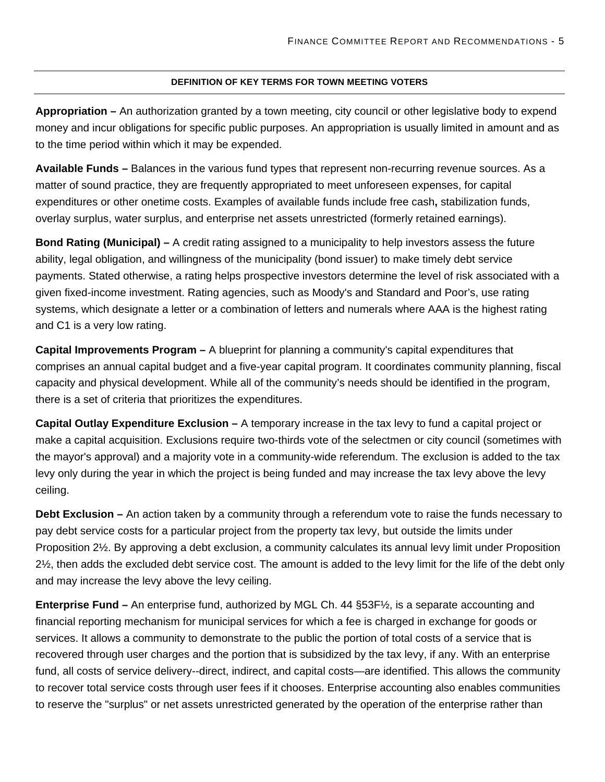#### **DEFINITION OF KEY TERMS FOR TOWN MEETING VOTERS**

**Appropriation –** An authorization granted by a town meeting, city council or other legislative body to expend money and incur obligations for specific public purposes. An appropriation is usually limited in amount and as to the time period within which it may be expended.

**Available Funds –** Balances in the various fund types that represent non-recurring revenue sources. As a matter of sound practice, they are frequently appropriated to meet unforeseen expenses, for capital expenditures or other onetime costs. Examples of available funds include free cash**,** stabilization funds, overlay surplus, water surplus, and enterprise net assets unrestricted (formerly retained earnings).

**Bond Rating (Municipal) –** A credit rating assigned to a municipality to help investors assess the future ability, legal obligation, and willingness of the municipality (bond issuer) to make timely debt service payments. Stated otherwise, a rating helps prospective investors determine the level of risk associated with a given fixed-income investment. Rating agencies, such as Moody's and Standard and Poor's, use rating systems, which designate a letter or a combination of letters and numerals where AAA is the highest rating and C1 is a very low rating.

**Capital Improvements Program –** A blueprint for planning a community's capital expenditures that comprises an annual capital budget and a five-year capital program. It coordinates community planning, fiscal capacity and physical development. While all of the community's needs should be identified in the program, there is a set of criteria that prioritizes the expenditures.

**Capital Outlay Expenditure Exclusion –** A temporary increase in the tax levy to fund a capital project or make a capital acquisition. Exclusions require two-thirds vote of the selectmen or city council (sometimes with the mayor's approval) and a majority vote in a community-wide referendum. The exclusion is added to the tax levy only during the year in which the project is being funded and may increase the tax levy above the levy ceiling.

**Debt Exclusion –** An action taken by a community through a referendum vote to raise the funds necessary to pay debt service costs for a particular project from the property tax levy, but outside the limits under Proposition 2½. By approving a debt exclusion, a community calculates its annual levy limit under Proposition 2½, then adds the excluded debt service cost. The amount is added to the levy limit for the life of the debt only and may increase the levy above the levy ceiling.

**Enterprise Fund –** An enterprise fund, authorized by MGL Ch. 44 §53F½, is a separate accounting and financial reporting mechanism for municipal services for which a fee is charged in exchange for goods or services. It allows a community to demonstrate to the public the portion of total costs of a service that is recovered through user charges and the portion that is subsidized by the tax levy, if any. With an enterprise fund, all costs of service delivery--direct, indirect, and capital costs—are identified. This allows the community to recover total service costs through user fees if it chooses. Enterprise accounting also enables communities to reserve the "surplus" or net assets unrestricted generated by the operation of the enterprise rather than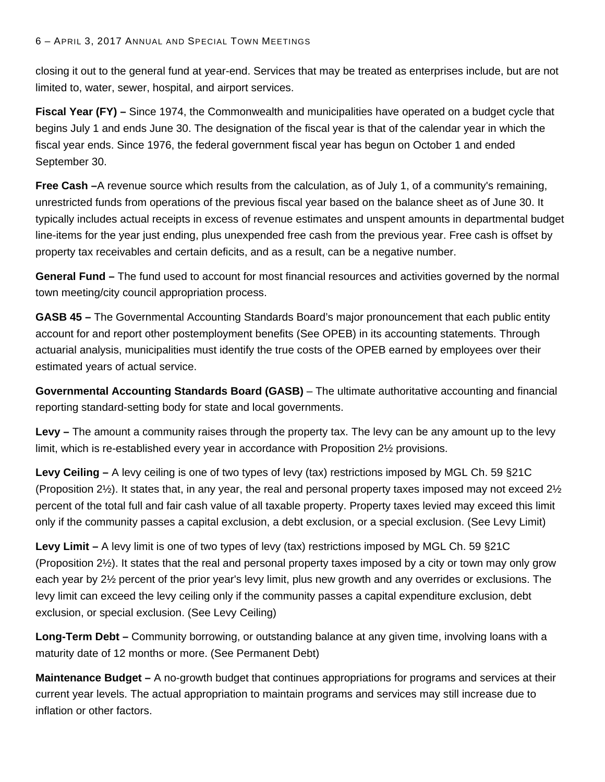closing it out to the general fund at year-end. Services that may be treated as enterprises include, but are not limited to, water, sewer, hospital, and airport services.

**Fiscal Year (FY) –** Since 1974, the Commonwealth and municipalities have operated on a budget cycle that begins July 1 and ends June 30. The designation of the fiscal year is that of the calendar year in which the fiscal year ends. Since 1976, the federal government fiscal year has begun on October 1 and ended September 30.

**Free Cash** –A revenue source which results from the calculation, as of July 1, of a community's remaining, unrestricted funds from operations of the previous fiscal year based on the balance sheet as of June 30. It typically includes actual receipts in excess of revenue estimates and unspent amounts in departmental budget line-items for the year just ending, plus unexpended free cash from the previous year. Free cash is offset by property tax receivables and certain deficits, and as a result, can be a negative number.

**General Fund –** The fund used to account for most financial resources and activities governed by the normal town meeting/city council appropriation process.

**GASB 45 –** The Governmental Accounting Standards Board's major pronouncement that each public entity account for and report other postemployment benefits (See OPEB) in its accounting statements. Through actuarial analysis, municipalities must identify the true costs of the OPEB earned by employees over their estimated years of actual service.

**Governmental Accounting Standards Board (GASB)** – The ultimate authoritative accounting and financial reporting standard-setting body for state and local governments.

**Levy –** The amount a community raises through the property tax. The levy can be any amount up to the levy limit, which is re-established every year in accordance with Proposition 2½ provisions.

**Levy Ceiling –** A levy ceiling is one of two types of levy (tax) restrictions imposed by MGL Ch. 59 §21C (Proposition 2½). It states that, in any year, the real and personal property taxes imposed may not exceed 2½ percent of the total full and fair cash value of all taxable property. Property taxes levied may exceed this limit only if the community passes a capital exclusion, a debt exclusion, or a special exclusion. (See Levy Limit)

**Levy Limit –** A levy limit is one of two types of levy (tax) restrictions imposed by MGL Ch. 59 §21C (Proposition 2½). It states that the real and personal property taxes imposed by a city or town may only grow each year by 2½ percent of the prior year's levy limit, plus new growth and any overrides or exclusions. The levy limit can exceed the levy ceiling only if the community passes a capital expenditure exclusion, debt exclusion, or special exclusion. (See Levy Ceiling)

**Long-Term Debt –** Community borrowing, or outstanding balance at any given time, involving loans with a maturity date of 12 months or more. (See Permanent Debt)

**Maintenance Budget –** A no-growth budget that continues appropriations for programs and services at their current year levels. The actual appropriation to maintain programs and services may still increase due to inflation or other factors.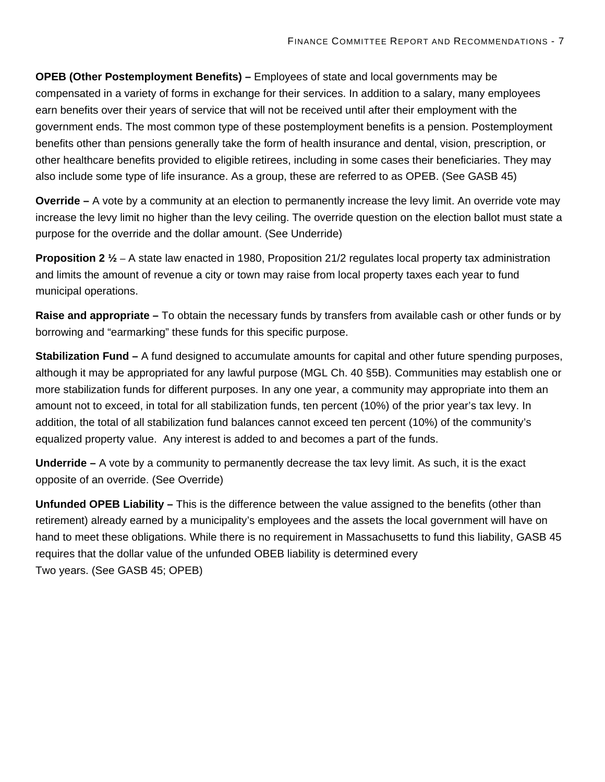**OPEB (Other Postemployment Benefits) –** Employees of state and local governments may be compensated in a variety of forms in exchange for their services. In addition to a salary, many employees earn benefits over their years of service that will not be received until after their employment with the government ends. The most common type of these postemployment benefits is a pension. Postemployment benefits other than pensions generally take the form of health insurance and dental, vision, prescription, or other healthcare benefits provided to eligible retirees, including in some cases their beneficiaries. They may also include some type of life insurance. As a group, these are referred to as OPEB. (See GASB 45)

**Override –** A vote by a community at an election to permanently increase the levy limit. An override vote may increase the levy limit no higher than the levy ceiling. The override question on the election ballot must state a purpose for the override and the dollar amount. (See Underride)

**Proposition 2**  $\frac{1}{2}$  – A state law enacted in 1980, Proposition 21/2 regulates local property tax administration and limits the amount of revenue a city or town may raise from local property taxes each year to fund municipal operations.

**Raise and appropriate –** To obtain the necessary funds by transfers from available cash or other funds or by borrowing and "earmarking" these funds for this specific purpose.

**Stabilization Fund –** A fund designed to accumulate amounts for capital and other future spending purposes, although it may be appropriated for any lawful purpose (MGL Ch. 40 §5B). Communities may establish one or more stabilization funds for different purposes. In any one year, a community may appropriate into them an amount not to exceed, in total for all stabilization funds, ten percent (10%) of the prior year's tax levy. In addition, the total of all stabilization fund balances cannot exceed ten percent (10%) of the community's equalized property value. Any interest is added to and becomes a part of the funds.

**Underride –** A vote by a community to permanently decrease the tax levy limit. As such, it is the exact opposite of an override. (See Override)

**Unfunded OPEB Liability –** This is the difference between the value assigned to the benefits (other than retirement) already earned by a municipality's employees and the assets the local government will have on hand to meet these obligations. While there is no requirement in Massachusetts to fund this liability, GASB 45 requires that the dollar value of the unfunded OBEB liability is determined every Two years. (See GASB 45; OPEB)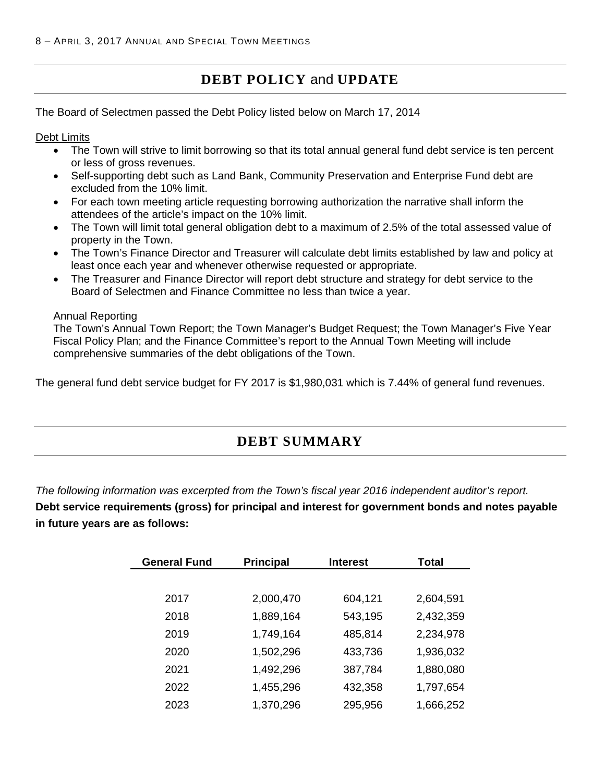## **DEBT POLICY** and **UPDATE**

The Board of Selectmen passed the Debt Policy listed below on March 17, 2014

Debt Limits

- The Town will strive to limit borrowing so that its total annual general fund debt service is ten percent or less of gross revenues.
- Self-supporting debt such as Land Bank, Community Preservation and Enterprise Fund debt are excluded from the 10% limit.
- For each town meeting article requesting borrowing authorization the narrative shall inform the attendees of the article's impact on the 10% limit.
- The Town will limit total general obligation debt to a maximum of 2.5% of the total assessed value of property in the Town.
- The Town's Finance Director and Treasurer will calculate debt limits established by law and policy at least once each year and whenever otherwise requested or appropriate.
- The Treasurer and Finance Director will report debt structure and strategy for debt service to the Board of Selectmen and Finance Committee no less than twice a year.

#### Annual Reporting

The Town's Annual Town Report; the Town Manager's Budget Request; the Town Manager's Five Year Fiscal Policy Plan; and the Finance Committee's report to the Annual Town Meeting will include comprehensive summaries of the debt obligations of the Town.

The general fund debt service budget for FY 2017 is \$1,980,031 which is 7.44% of general fund revenues.

## **DEBT SUMMARY**

*The following information was excerpted from the Town's fiscal year 2016 independent auditor's report.* 

**Debt service requirements (gross) for principal and interest for government bonds and notes payable in future years are as follows:** 

| <b>General Fund</b> | <b>Principal</b> | <b>Interest</b> | <b>Total</b> |
|---------------------|------------------|-----------------|--------------|
|                     |                  |                 |              |
| 2017                | 2,000,470        | 604,121         | 2,604,591    |
| 2018                | 1,889,164        | 543,195         | 2,432,359    |
| 2019                | 1,749,164        | 485,814         | 2,234,978    |
| 2020                | 1,502,296        | 433,736         | 1,936,032    |
| 2021                | 1,492,296        | 387,784         | 1,880,080    |
| 2022                | 1,455,296        | 432,358         | 1,797,654    |
| 2023                | 1,370,296        | 295,956         | 1,666,252    |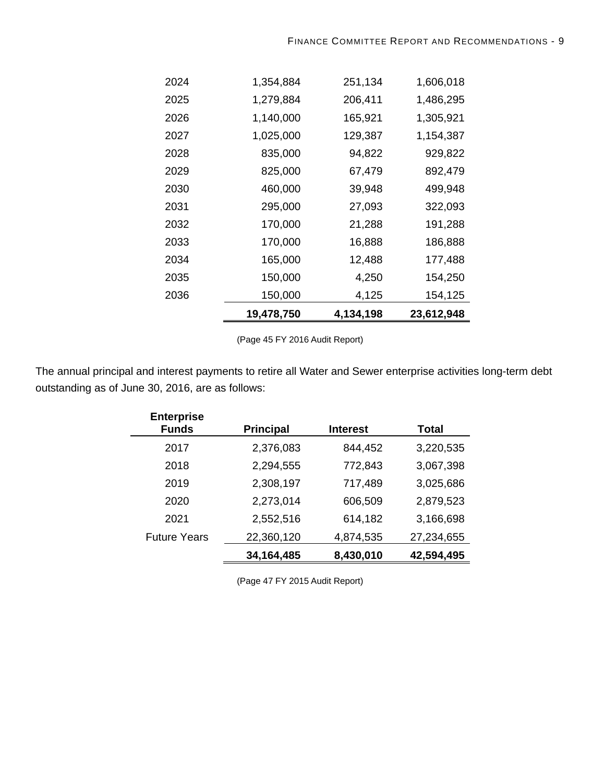| 2036 | 150,000   | 4,125   | 154,125   |
|------|-----------|---------|-----------|
| 2035 | 150,000   | 4,250   | 154,250   |
| 2034 | 165,000   | 12,488  | 177,488   |
| 2033 | 170,000   | 16,888  | 186,888   |
| 2032 | 170,000   | 21,288  | 191,288   |
| 2031 | 295,000   | 27,093  | 322,093   |
| 2030 | 460,000   | 39,948  | 499,948   |
| 2029 | 825,000   | 67,479  | 892,479   |
| 2028 | 835,000   | 94,822  | 929,822   |
| 2027 | 1,025,000 | 129,387 | 1,154,387 |
| 2026 | 1,140,000 | 165,921 | 1,305,921 |
| 2025 | 1,279,884 | 206,411 | 1,486,295 |
| 2024 | 1,354,884 | 251,134 | 1,606,018 |

(Page 45 FY 2016 Audit Report)

The annual principal and interest payments to retire all Water and Sewer enterprise activities long-term debt outstanding as of June 30, 2016, are as follows:

| <b>Enterprise</b>   |                  |                 |            |
|---------------------|------------------|-----------------|------------|
| <b>Funds</b>        | <b>Principal</b> | <b>Interest</b> | Total      |
| 2017                | 2,376,083        | 844,452         | 3,220,535  |
| 2018                | 2,294,555        | 772,843         | 3,067,398  |
| 2019                | 2,308,197        | 717,489         | 3,025,686  |
| 2020                | 2,273,014        | 606,509         | 2,879,523  |
| 2021                | 2,552,516        | 614,182         | 3,166,698  |
| <b>Future Years</b> | 22,360,120       | 4,874,535       | 27,234,655 |
|                     | 34, 164, 485     | 8,430,010       | 42,594,495 |

(Page 47 FY 2015 Audit Report)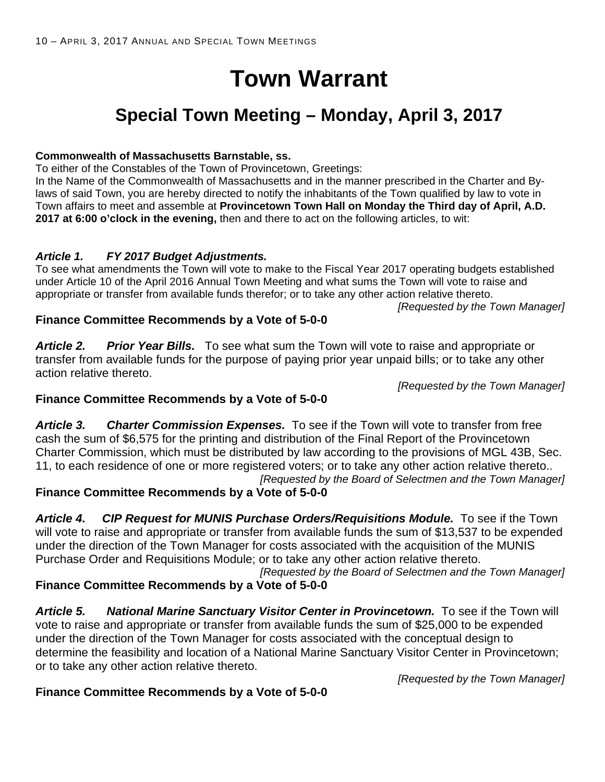# **Town Warrant**

## **Special Town Meeting – Monday, April 3, 2017**

#### **Commonwealth of Massachusetts Barnstable, ss.**

To either of the Constables of the Town of Provincetown, Greetings:

In the Name of the Commonwealth of Massachusetts and in the manner prescribed in the Charter and Bylaws of said Town, you are hereby directed to notify the inhabitants of the Town qualified by law to vote in Town affairs to meet and assemble at **Provincetown Town Hall on Monday the Third day of April, A.D. 2017 at 6:00 o'clock in the evening,** then and there to act on the following articles, to wit:

## *Article 1. FY 2017 Budget Adjustments.*

To see what amendments the Town will vote to make to the Fiscal Year 2017 operating budgets established under Article 10 of the April 2016 Annual Town Meeting and what sums the Town will vote to raise and appropriate or transfer from available funds therefor; or to take any other action relative thereto.

*[Requested by the Town Manager]* 

## **Finance Committee Recommends by a Vote of 5-0-0**

*Article 2. Prior Year Bills.* To see what sum the Town will vote to raise and appropriate or transfer from available funds for the purpose of paying prior year unpaid bills; or to take any other action relative thereto.

*[Requested by the Town Manager]* 

## **Finance Committee Recommends by a Vote of 5-0-0**

*Article 3. Charter Commission Expenses.* To see if the Town will vote to transfer from free cash the sum of \$6,575 for the printing and distribution of the Final Report of the Provincetown Charter Commission, which must be distributed by law according to the provisions of MGL 43B, Sec. 11, to each residence of one or more registered voters; or to take any other action relative thereto.. *[Requested by the Board of Selectmen and the Town Manager]* 

## **Finance Committee Recommends by a Vote of 5-0-0**

*Article 4. CIP Request for MUNIS Purchase Orders/Requisitions Module.* To see if the Town will vote to raise and appropriate or transfer from available funds the sum of \$13,537 to be expended under the direction of the Town Manager for costs associated with the acquisition of the MUNIS Purchase Order and Requisitions Module; or to take any other action relative thereto.

*[Requested by the Board of Selectmen and the Town Manager]*  **Finance Committee Recommends by a Vote of 5-0-0**

**Article 5.** National Marine Sanctuary Visitor Center in Provincetown. To see if the Town will vote to raise and appropriate or transfer from available funds the sum of \$25,000 to be expended under the direction of the Town Manager for costs associated with the conceptual design to determine the feasibility and location of a National Marine Sanctuary Visitor Center in Provincetown; or to take any other action relative thereto.

*[Requested by the Town Manager]* 

## **Finance Committee Recommends by a Vote of 5-0-0**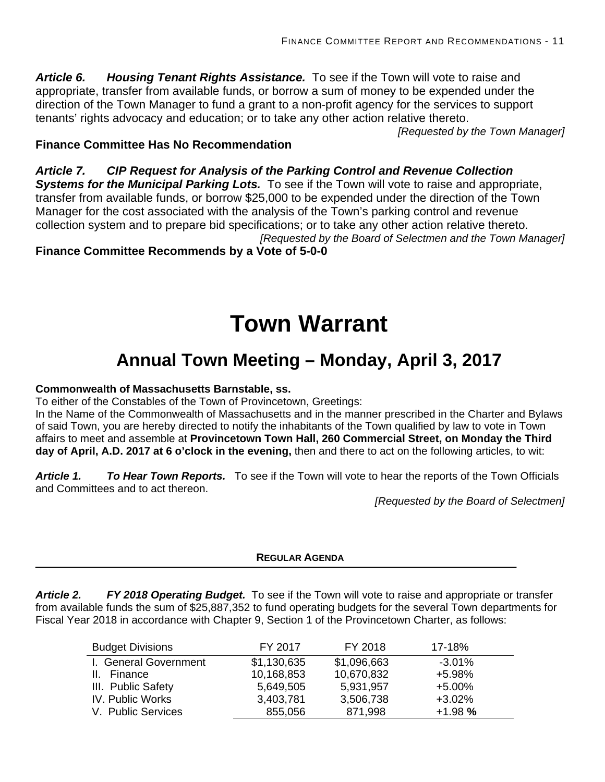*Article 6. Housing Tenant Rights Assistance.* To see if the Town will vote to raise and appropriate, transfer from available funds, or borrow a sum of money to be expended under the direction of the Town Manager to fund a grant to a non-profit agency for the services to support tenants' rights advocacy and education; or to take any other action relative thereto.

*[Requested by the Town Manager]* 

## **Finance Committee Has No Recommendation**

*Article 7. CIP Request for Analysis of the Parking Control and Revenue Collection Systems for the Municipal Parking Lots.* To see if the Town will vote to raise and appropriate, transfer from available funds, or borrow \$25,000 to be expended under the direction of the Town Manager for the cost associated with the analysis of the Town's parking control and revenue collection system and to prepare bid specifications; or to take any other action relative thereto. *[Requested by the Board of Selectmen and the Town Manager]* 

**Finance Committee Recommends by a Vote of 5-0-0**

# **Town Warrant**

## **Annual Town Meeting – Monday, April 3, 2017**

### **Commonwealth of Massachusetts Barnstable, ss.**

To either of the Constables of the Town of Provincetown, Greetings:

In the Name of the Commonwealth of Massachusetts and in the manner prescribed in the Charter and Bylaws of said Town, you are hereby directed to notify the inhabitants of the Town qualified by law to vote in Town affairs to meet and assemble at **Provincetown Town Hall, 260 Commercial Street, on Monday the Third day of April, A.D. 2017 at 6 o'clock in the evening,** then and there to act on the following articles, to wit:

*Article 1. To Hear Town Reports.* To see if the Town will vote to hear the reports of the Town Officials and Committees and to act thereon.

 *[Requested by the Board of Selectmen]* 

## **REGULAR AGENDA**

*Article 2. FY 2018 Operating Budget.* To see if the Town will vote to raise and appropriate or transfer from available funds the sum of \$25,887,352 to fund operating budgets for the several Town departments for Fiscal Year 2018 in accordance with Chapter 9, Section 1 of the Provincetown Charter, as follows:

| <b>Budget Divisions</b> | FY 2017     | FY 2018     | 17-18%    |
|-------------------------|-------------|-------------|-----------|
| I. General Government   | \$1,130,635 | \$1,096,663 | $-3.01\%$ |
| Finance<br>II. I        | 10,168,853  | 10,670,832  | $+5.98%$  |
| III. Public Safety      | 5,649,505   | 5,931,957   | $+5.00%$  |
| <b>IV. Public Works</b> | 3,403,781   | 3,506,738   | $+3.02%$  |
| V. Public Services      | 855,056     | 871,998     | $+1.98%$  |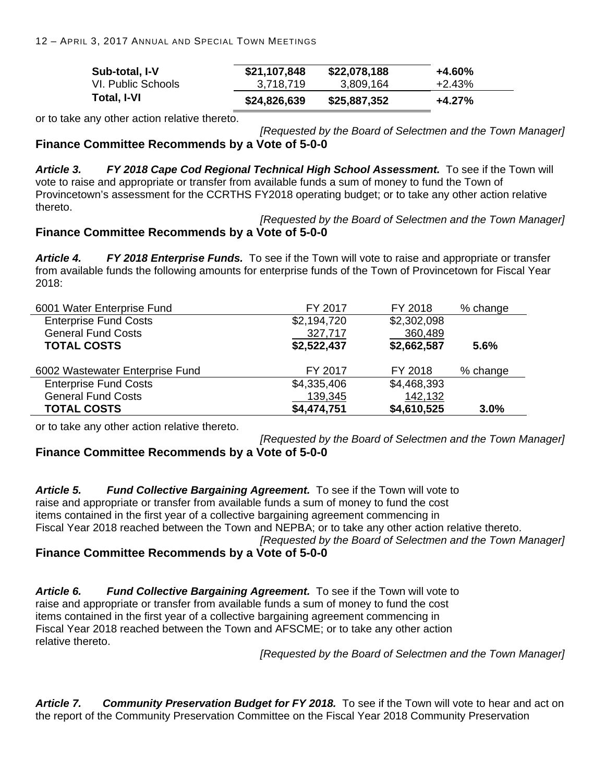| Sub-total, I-V     | \$21,107,848 | \$22,078,188 | +4.60% |
|--------------------|--------------|--------------|--------|
| VI. Public Schools | 3,718,719    | 3.809.164    | +2.43% |
| Total, I-VI        | \$24,826,639 | \$25,887,352 | +4.27% |

or to take any other action relative thereto.

*[Requested by the Board of Selectmen and the Town Manager]* 

#### **Finance Committee Recommends by a Vote of 5-0-0**

*Article 3. FY 2018 Cape Cod Regional Technical High School Assessment.* To see if the Town will vote to raise and appropriate or transfer from available funds a sum of money to fund the Town of Provincetown's assessment for the CCRTHS FY2018 operating budget; or to take any other action relative thereto.

*[Requested by the Board of Selectmen and the Town Manager]*  **Finance Committee Recommends by a Vote of 5-0-0**

*Article 4. FY 2018 Enterprise Funds.* To see if the Town will vote to raise and appropriate or transfer from available funds the following amounts for enterprise funds of the Town of Provincetown for Fiscal Year 2018:

| 6001 Water Enterprise Fund      | FY 2017     | FY 2018     | % change |
|---------------------------------|-------------|-------------|----------|
| <b>Enterprise Fund Costs</b>    | \$2,194,720 | \$2,302,098 |          |
| <b>General Fund Costs</b>       | 327,717     | 360,489     |          |
| <b>TOTAL COSTS</b>              | \$2,522,437 | \$2,662,587 | 5.6%     |
| 6002 Wastewater Enterprise Fund | FY 2017     | FY 2018     | % change |
| <b>Enterprise Fund Costs</b>    | \$4,335,406 | \$4,468,393 |          |
| <b>General Fund Costs</b>       | 139,345     | 142,132     |          |
| <b>TOTAL COSTS</b>              | \$4,474,751 | \$4,610,525 | 3.0%     |

or to take any other action relative thereto.

*[Requested by the Board of Selectmen and the Town Manager]*  **Finance Committee Recommends by a Vote of 5-0-0**

*Article 5. Fund Collective Bargaining Agreement.* To see if the Town will vote to raise and appropriate or transfer from available funds a sum of money to fund the cost items contained in the first year of a collective bargaining agreement commencing in Fiscal Year 2018 reached between the Town and NEPBA; or to take any other action relative thereto. *[Requested by the Board of Selectmen and the Town Manager]* 

## **Finance Committee Recommends by a Vote of 5-0-0**

*Article 6. Fund Collective Bargaining Agreement.* To see if the Town will vote to raise and appropriate or transfer from available funds a sum of money to fund the cost items contained in the first year of a collective bargaining agreement commencing in Fiscal Year 2018 reached between the Town and AFSCME; or to take any other action relative thereto.

*[Requested by the Board of Selectmen and the Town Manager]* 

*Article 7. Community Preservation Budget for FY 2018.* To see if the Town will vote to hear and act on the report of the Community Preservation Committee on the Fiscal Year 2018 Community Preservation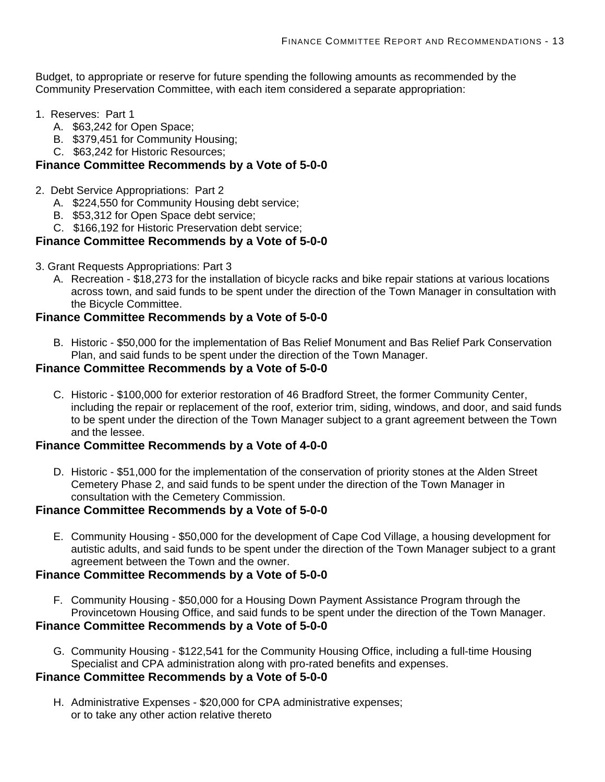Budget, to appropriate or reserve for future spending the following amounts as recommended by the Community Preservation Committee, with each item considered a separate appropriation:

#### 1. Reserves: Part 1

- A. \$63,242 for Open Space;
- B. \$379,451 for Community Housing;
- C. \$63,242 for Historic Resources;

### **Finance Committee Recommends by a Vote of 5-0-0**

- 2. Debt Service Appropriations: Part 2
	- A. \$224,550 for Community Housing debt service;
	- B. \$53,312 for Open Space debt service;
	- C. \$166,192 for Historic Preservation debt service;

#### **Finance Committee Recommends by a Vote of 5-0-0**

- 3. Grant Requests Appropriations: Part 3
	- A. Recreation \$18,273 for the installation of bicycle racks and bike repair stations at various locations across town, and said funds to be spent under the direction of the Town Manager in consultation with the Bicycle Committee.

## **Finance Committee Recommends by a Vote of 5-0-0**

B. Historic - \$50,000 for the implementation of Bas Relief Monument and Bas Relief Park Conservation Plan, and said funds to be spent under the direction of the Town Manager.

#### **Finance Committee Recommends by a Vote of 5-0-0**

C. Historic - \$100,000 for exterior restoration of 46 Bradford Street, the former Community Center, including the repair or replacement of the roof, exterior trim, siding, windows, and door, and said funds to be spent under the direction of the Town Manager subject to a grant agreement between the Town and the lessee.

## **Finance Committee Recommends by a Vote of 4-0-0**

D. Historic - \$51,000 for the implementation of the conservation of priority stones at the Alden Street Cemetery Phase 2, and said funds to be spent under the direction of the Town Manager in consultation with the Cemetery Commission.

#### **Finance Committee Recommends by a Vote of 5-0-0**

E. Community Housing - \$50,000 for the development of Cape Cod Village, a housing development for autistic adults, and said funds to be spent under the direction of the Town Manager subject to a grant agreement between the Town and the owner.

## **Finance Committee Recommends by a Vote of 5-0-0**

F. Community Housing - \$50,000 for a Housing Down Payment Assistance Program through the Provincetown Housing Office, and said funds to be spent under the direction of the Town Manager.

#### **Finance Committee Recommends by a Vote of 5-0-0**

G. Community Housing - \$122,541 for the Community Housing Office, including a full-time Housing Specialist and CPA administration along with pro-rated benefits and expenses.

## **Finance Committee Recommends by a Vote of 5-0-0**

H. Administrative Expenses - \$20,000 for CPA administrative expenses; or to take any other action relative thereto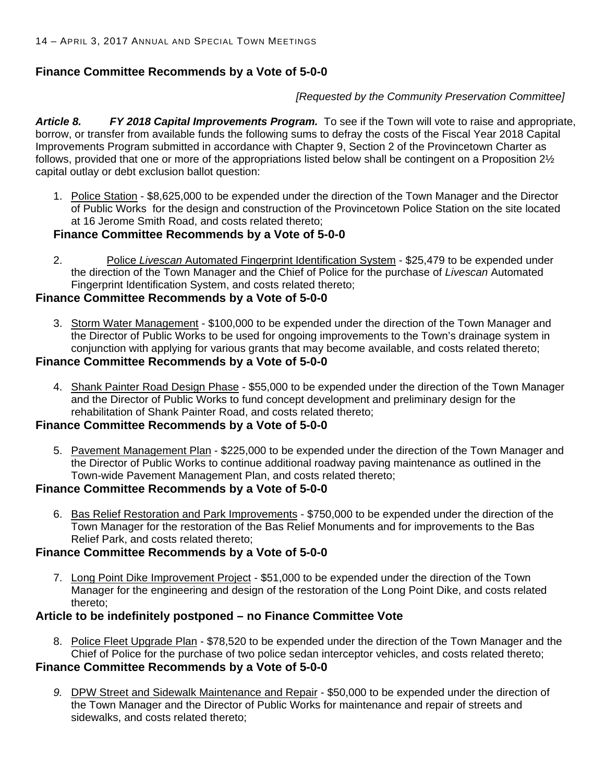## **Finance Committee Recommends by a Vote of 5-0-0**

### *[Requested by the Community Preservation Committee]*

**Article 8. FY 2018 Capital Improvements Program.** To see if the Town will vote to raise and appropriate, borrow, or transfer from available funds the following sums to defray the costs of the Fiscal Year 2018 Capital Improvements Program submitted in accordance with Chapter 9, Section 2 of the Provincetown Charter as follows, provided that one or more of the appropriations listed below shall be contingent on a Proposition 2½ capital outlay or debt exclusion ballot question:

1. Police Station - \$8,625,000 to be expended under the direction of the Town Manager and the Director of Public Works for the design and construction of the Provincetown Police Station on the site located at 16 Jerome Smith Road, and costs related thereto;

## **Finance Committee Recommends by a Vote of 5-0-0**

2. Police *Livescan* Automated Fingerprint Identification System - \$25,479 to be expended under the direction of the Town Manager and the Chief of Police for the purchase of *Livescan* Automated Fingerprint Identification System, and costs related thereto;

## **Finance Committee Recommends by a Vote of 5-0-0**

3. Storm Water Management - \$100,000 to be expended under the direction of the Town Manager and the Director of Public Works to be used for ongoing improvements to the Town's drainage system in conjunction with applying for various grants that may become available, and costs related thereto;

## **Finance Committee Recommends by a Vote of 5-0-0**

4. Shank Painter Road Design Phase - \$55,000 to be expended under the direction of the Town Manager and the Director of Public Works to fund concept development and preliminary design for the rehabilitation of Shank Painter Road, and costs related thereto;

## **Finance Committee Recommends by a Vote of 5-0-0**

5. Pavement Management Plan - \$225,000 to be expended under the direction of the Town Manager and the Director of Public Works to continue additional roadway paving maintenance as outlined in the Town-wide Pavement Management Plan, and costs related thereto;

## **Finance Committee Recommends by a Vote of 5-0-0**

6. Bas Relief Restoration and Park Improvements - \$750,000 to be expended under the direction of the Town Manager for the restoration of the Bas Relief Monuments and for improvements to the Bas Relief Park, and costs related thereto;

## **Finance Committee Recommends by a Vote of 5-0-0**

7. Long Point Dike Improvement Project - \$51,000 to be expended under the direction of the Town Manager for the engineering and design of the restoration of the Long Point Dike, and costs related thereto;

## **Article to be indefinitely postponed – no Finance Committee Vote**

8. Police Fleet Upgrade Plan - \$78,520 to be expended under the direction of the Town Manager and the Chief of Police for the purchase of two police sedan interceptor vehicles, and costs related thereto;

## **Finance Committee Recommends by a Vote of 5-0-0**

*9.* DPW Street and Sidewalk Maintenance and Repair - \$50,000 to be expended under the direction of the Town Manager and the Director of Public Works for maintenance and repair of streets and sidewalks, and costs related thereto;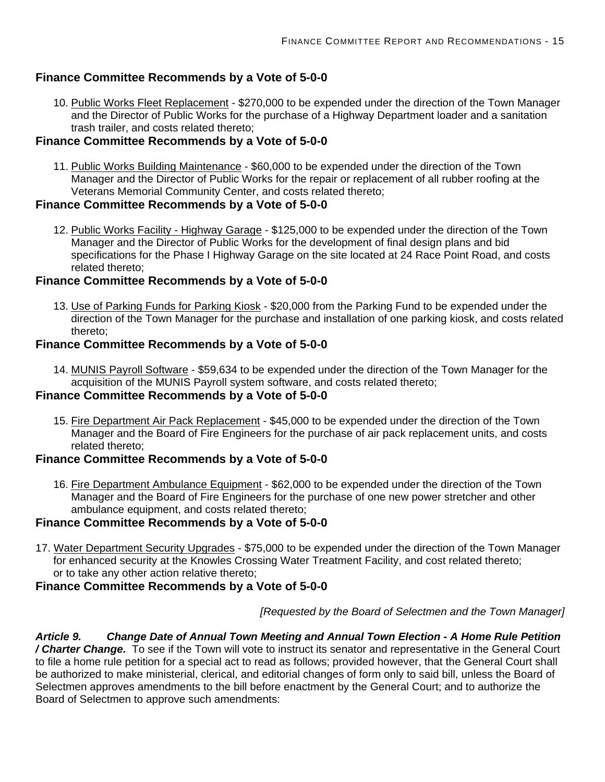## **Finance Committee Recommends by a Vote of 5-0-0**

10. Public Works Fleet Replacement - \$270,000 to be expended under the direction of the Town Manager and the Director of Public Works for the purchase of a Highway Department loader and a sanitation trash trailer, and costs related thereto;

### **Finance Committee Recommends by a Vote of 5-0-0**

11. Public Works Building Maintenance - \$60,000 to be expended under the direction of the Town Manager and the Director of Public Works for the repair or replacement of all rubber roofing at the Veterans Memorial Community Center, and costs related thereto;

#### **Finance Committee Recommends by a Vote of 5-0-0**

12. Public Works Facility - Highway Garage - \$125,000 to be expended under the direction of the Town Manager and the Director of Public Works for the development of final design plans and bid specifications for the Phase I Highway Garage on the site located at 24 Race Point Road, and costs related thereto;

#### **Finance Committee Recommends by a Vote of 5-0-0**

13. Use of Parking Funds for Parking Kiosk - \$20,000 from the Parking Fund to be expended under the direction of the Town Manager for the purchase and installation of one parking kiosk, and costs related thereto;

#### **Finance Committee Recommends by a Vote of 5-0-0**

14. MUNIS Payroll Software - \$59,634 to be expended under the direction of the Town Manager for the acquisition of the MUNIS Payroll system software, and costs related thereto;

#### **Finance Committee Recommends by a Vote of 5-0-0**

15. Fire Department Air Pack Replacement - \$45,000 to be expended under the direction of the Town Manager and the Board of Fire Engineers for the purchase of air pack replacement units, and costs related thereto;

#### **Finance Committee Recommends by a Vote of 5-0-0**

16. Fire Department Ambulance Equipment - \$62,000 to be expended under the direction of the Town Manager and the Board of Fire Engineers for the purchase of one new power stretcher and other ambulance equipment, and costs related thereto;

## **Finance Committee Recommends by a Vote of 5-0-0**

17. Water Department Security Upgrades - \$75,000 to be expended under the direction of the Town Manager for enhanced security at the Knowles Crossing Water Treatment Facility, and cost related thereto; or to take any other action relative thereto;

## **Finance Committee Recommends by a Vote of 5-0-0**

 *[Requested by the Board of Selectmen and the Town Manager]* 

*Article 9. Change Date of Annual Town Meeting and Annual Town Election - A Home Rule Petition / Charter Change.* To see if the Town will vote to instruct its senator and representative in the General Court to file a home rule petition for a special act to read as follows; provided however, that the General Court shall be authorized to make ministerial, clerical, and editorial changes of form only to said bill, unless the Board of Selectmen approves amendments to the bill before enactment by the General Court; and to authorize the Board of Selectmen to approve such amendments: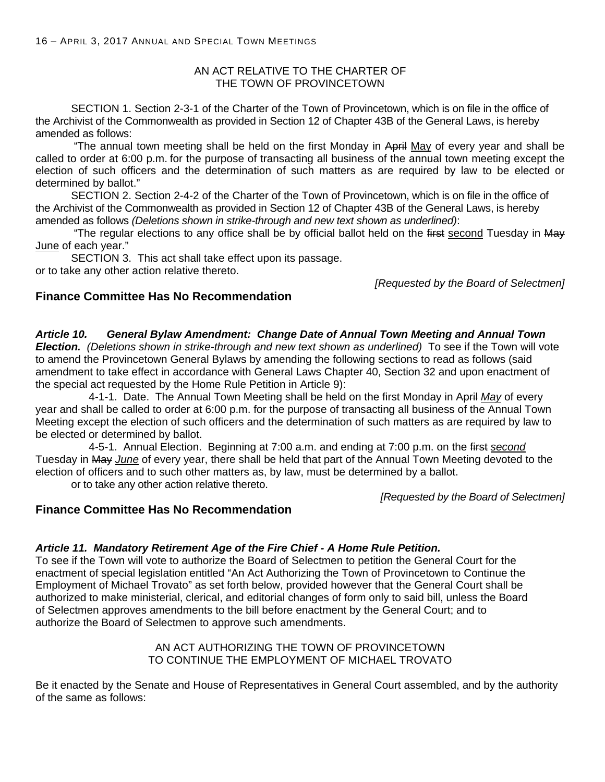#### AN ACT RELATIVE TO THE CHARTER OF THE TOWN OF PROVINCETOWN

SECTION 1. Section 2-3-1 of the Charter of the Town of Provincetown, which is on file in the office of the Archivist of the Commonwealth as provided in Section 12 of Chapter 43B of the General Laws, is hereby amended as follows:

"The annual town meeting shall be held on the first Monday in April May of every year and shall be called to order at 6:00 p.m. for the purpose of transacting all business of the annual town meeting except the election of such officers and the determination of such matters as are required by law to be elected or determined by ballot."

SECTION 2. Section 2-4-2 of the Charter of the Town of Provincetown, which is on file in the office of the Archivist of the Commonwealth as provided in Section 12 of Chapter 43B of the General Laws, is hereby amended as follows *(Deletions shown in strike-through and new text shown as underlined)*:

"The regular elections to any office shall be by official ballot held on the first second Tuesday in May June of each year."

SECTION 3. This act shall take effect upon its passage. or to take any other action relative thereto.

*[Requested by the Board of Selectmen]* 

## **Finance Committee Has No Recommendation**

#### *Article 10. General Bylaw Amendment: Change Date of Annual Town Meeting and Annual Town Election. (Deletions shown in strike-through and new text shown as underlined)* To see if the Town will vote to amend the Provincetown General Bylaws by amending the following sections to read as follows (said amendment to take effect in accordance with General Laws Chapter 40, Section 32 and upon enactment of the special act requested by the Home Rule Petition in Article 9):

 4-1-1. Date. The Annual Town Meeting shall be held on the first Monday in April *May* of every year and shall be called to order at 6:00 p.m. for the purpose of transacting all business of the Annual Town Meeting except the election of such officers and the determination of such matters as are required by law to be elected or determined by ballot.

 4-5-1. Annual Election. Beginning at 7:00 a.m. and ending at 7:00 p.m. on the first *second*  Tuesday in May *June* of every year, there shall be held that part of the Annual Town Meeting devoted to the election of officers and to such other matters as, by law, must be determined by a ballot.

or to take any other action relative thereto.

*[Requested by the Board of Selectmen]* 

## **Finance Committee Has No Recommendation**

## *Article 11. Mandatory Retirement Age of the Fire Chief - A Home Rule Petition.*

To see if the Town will vote to authorize the Board of Selectmen to petition the General Court for the enactment of special legislation entitled "An Act Authorizing the Town of Provincetown to Continue the Employment of Michael Trovato" as set forth below, provided however that the General Court shall be authorized to make ministerial, clerical, and editorial changes of form only to said bill, unless the Board of Selectmen approves amendments to the bill before enactment by the General Court; and to authorize the Board of Selectmen to approve such amendments.

#### AN ACT AUTHORIZING THE TOWN OF PROVINCETOWN TO CONTINUE THE EMPLOYMENT OF MICHAEL TROVATO

Be it enacted by the Senate and House of Representatives in General Court assembled, and by the authority of the same as follows: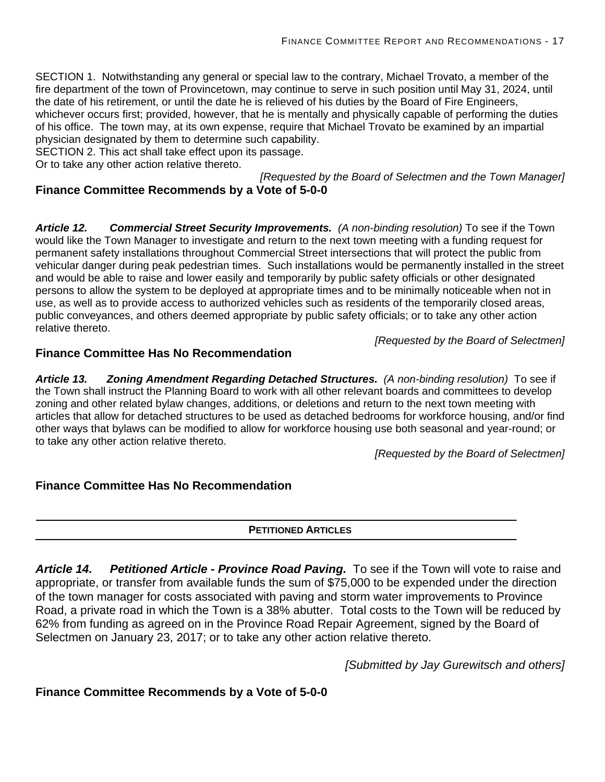SECTION 1. Notwithstanding any general or special law to the contrary, Michael Trovato, a member of the fire department of the town of Provincetown, may continue to serve in such position until May 31, 2024, until the date of his retirement, or until the date he is relieved of his duties by the Board of Fire Engineers, whichever occurs first; provided, however, that he is mentally and physically capable of performing the duties of his office. The town may, at its own expense, require that Michael Trovato be examined by an impartial physician designated by them to determine such capability.

SECTION 2. This act shall take effect upon its passage.

Or to take any other action relative thereto.

 *[Requested by the Board of Selectmen and the Town Manager]* 

## **Finance Committee Recommends by a Vote of 5-0-0**

*Article 12. Commercial Street Security Improvements. (A non-binding resolution)* To see if the Town would like the Town Manager to investigate and return to the next town meeting with a funding request for permanent safety installations throughout Commercial Street intersections that will protect the public from vehicular danger during peak pedestrian times. Such installations would be permanently installed in the street and would be able to raise and lower easily and temporarily by public safety officials or other designated persons to allow the system to be deployed at appropriate times and to be minimally noticeable when not in use, as well as to provide access to authorized vehicles such as residents of the temporarily closed areas, public conveyances, and others deemed appropriate by public safety officials; or to take any other action relative thereto.

*[Requested by the Board of Selectmen]* 

### **Finance Committee Has No Recommendation**

*Article 13. Zoning Amendment Regarding Detached Structures. (A non-binding resolution)* To see if the Town shall instruct the Planning Board to work with all other relevant boards and committees to develop zoning and other related bylaw changes, additions, or deletions and return to the next town meeting with articles that allow for detached structures to be used as detached bedrooms for workforce housing, and/or find other ways that bylaws can be modified to allow for workforce housing use both seasonal and year-round; or to take any other action relative thereto.

*[Requested by the Board of Selectmen]* 

## **Finance Committee Has No Recommendation**

#### **PETITIONED ARTICLES**

Article 14. Petitioned Article - Province Road Paving. To see if the Town will vote to raise and appropriate, or transfer from available funds the sum of \$75,000 to be expended under the direction of the town manager for costs associated with paving and storm water improvements to Province Road, a private road in which the Town is a 38% abutter. Total costs to the Town will be reduced by 62% from funding as agreed on in the Province Road Repair Agreement, signed by the Board of Selectmen on January 23, 2017; or to take any other action relative thereto.

*[Submitted by Jay Gurewitsch and others]* 

## **Finance Committee Recommends by a Vote of 5-0-0**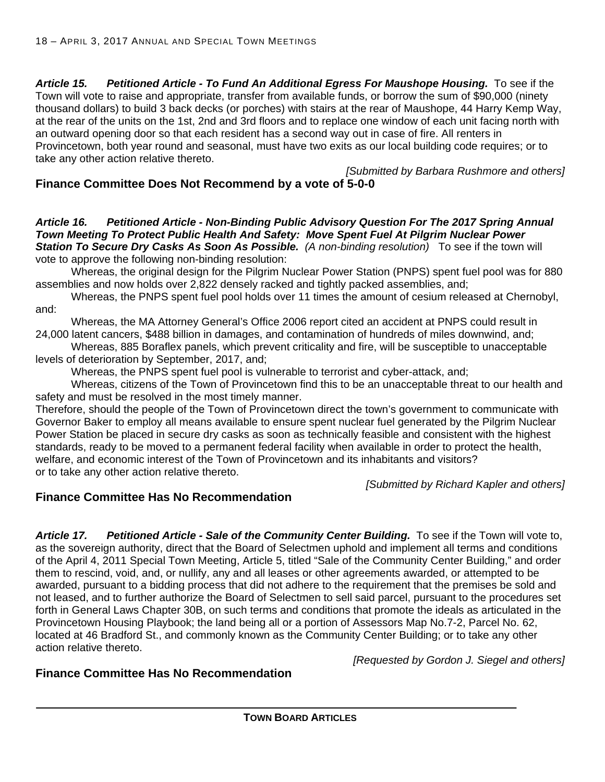Article 15. Petitioned Article - To Fund An Additional Egress For Maushope Housing. To see if the Town will vote to raise and appropriate, transfer from available funds, or borrow the sum of \$90,000 (ninety thousand dollars) to build 3 back decks (or porches) with stairs at the rear of Maushope, 44 Harry Kemp Way, at the rear of the units on the 1st, 2nd and 3rd floors and to replace one window of each unit facing north with an outward opening door so that each resident has a second way out in case of fire. All renters in Provincetown, both year round and seasonal, must have two exits as our local building code requires; or to take any other action relative thereto.

*[Submitted by Barbara Rushmore and others]* 

## **Finance Committee Does Not Recommend by a vote of 5-0-0**

#### *Article 16. Petitioned Article - Non-Binding Public Advisory Question For The 2017 Spring Annual Town Meeting To Protect Public Health And Safety: Move Spent Fuel At Pilgrim Nuclear Power*  Station To Secure Dry Casks As Soon As Possible. (A non-binding resolution) To see if the town will vote to approve the following non-binding resolution:

Whereas, the original design for the Pilgrim Nuclear Power Station (PNPS) spent fuel pool was for 880 assemblies and now holds over 2,822 densely racked and tightly packed assemblies, and;

Whereas, the PNPS spent fuel pool holds over 11 times the amount of cesium released at Chernobyl, and:

Whereas, the MA Attorney General's Office 2006 report cited an accident at PNPS could result in 24,000 latent cancers, \$488 billion in damages, and contamination of hundreds of miles downwind, and;

Whereas, 885 Boraflex panels, which prevent criticality and fire, will be susceptible to unacceptable levels of deterioration by September, 2017, and;

Whereas, the PNPS spent fuel pool is vulnerable to terrorist and cyber-attack, and;

 Whereas, citizens of the Town of Provincetown find this to be an unacceptable threat to our health and safety and must be resolved in the most timely manner.

Therefore, should the people of the Town of Provincetown direct the town's government to communicate with Governor Baker to employ all means available to ensure spent nuclear fuel generated by the Pilgrim Nuclear Power Station be placed in secure dry casks as soon as technically feasible and consistent with the highest standards, ready to be moved to a permanent federal facility when available in order to protect the health, welfare, and economic interest of the Town of Provincetown and its inhabitants and visitors? or to take any other action relative thereto.

*[Submitted by Richard Kapler and others]* 

## **Finance Committee Has No Recommendation**

Article 17. Petitioned Article - Sale of the Community Center Building. To see if the Town will vote to, as the sovereign authority, direct that the Board of Selectmen uphold and implement all terms and conditions of the April 4, 2011 Special Town Meeting, Article 5, titled "Sale of the Community Center Building," and order them to rescind, void, and, or nullify, any and all leases or other agreements awarded, or attempted to be awarded, pursuant to a bidding process that did not adhere to the requirement that the premises be sold and not leased, and to further authorize the Board of Selectmen to sell said parcel, pursuant to the procedures set forth in General Laws Chapter 30B, on such terms and conditions that promote the ideals as articulated in the Provincetown Housing Playbook; the land being all or a portion of Assessors Map No.7-2, Parcel No. 62, located at 46 Bradford St., and commonly known as the Community Center Building; or to take any other action relative thereto.

 *[Requested by Gordon J. Siegel and others]* 

## **Finance Committee Has No Recommendation**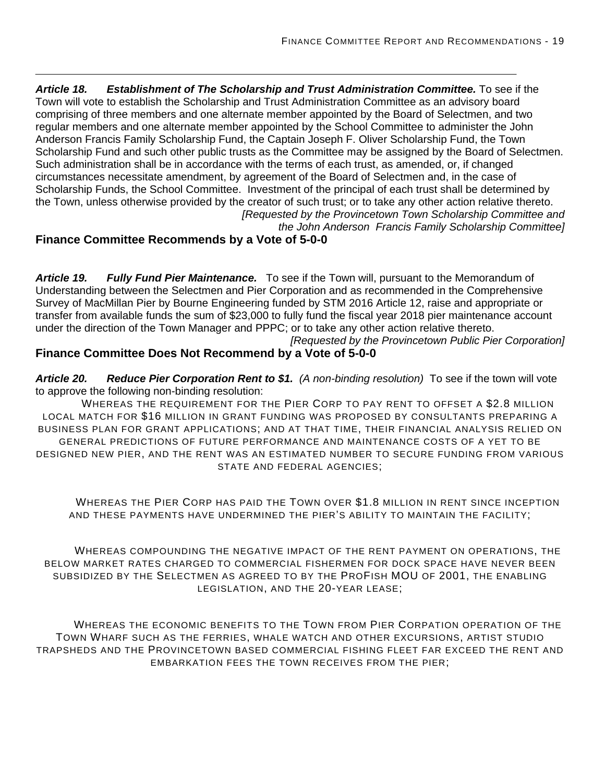*Article 18. Establishment of The Scholarship and Trust Administration Committee.* To see if the Town will vote to establish the Scholarship and Trust Administration Committee as an advisory board comprising of three members and one alternate member appointed by the Board of Selectmen, and two regular members and one alternate member appointed by the School Committee to administer the John Anderson Francis Family Scholarship Fund, the Captain Joseph F. Oliver Scholarship Fund, the Town Scholarship Fund and such other public trusts as the Committee may be assigned by the Board of Selectmen. Such administration shall be in accordance with the terms of each trust, as amended, or, if changed circumstances necessitate amendment, by agreement of the Board of Selectmen and, in the case of Scholarship Funds, the School Committee. Investment of the principal of each trust shall be determined by the Town, unless otherwise provided by the creator of such trust; or to take any other action relative thereto. *[Requested by the Provincetown Town Scholarship Committee and* 

*the John Anderson Francis Family Scholarship Committee]* 

## **Finance Committee Recommends by a Vote of 5-0-0**

*Article 19. Fully Fund Pier Maintenance.* To see if the Town will, pursuant to the Memorandum of Understanding between the Selectmen and Pier Corporation and as recommended in the Comprehensive Survey of MacMillan Pier by Bourne Engineering funded by STM 2016 Article 12, raise and appropriate or transfer from available funds the sum of \$23,000 to fully fund the fiscal year 2018 pier maintenance account under the direction of the Town Manager and PPPC; or to take any other action relative thereto.

*[Requested by the Provincetown Public Pier Corporation]*  **Finance Committee Does Not Recommend by a Vote of 5-0-0**

*Article 20. Reduce Pier Corporation Rent to \$1.**(A non-binding resolution)* To see if the town will vote to approve the following non-binding resolution:

 WHEREAS THE REQUIREMENT FOR THE PIER CORP TO PAY RENT TO OFFSET A \$2.8 MILLION LOCAL MATCH FOR \$16 MILLION IN GRANT FUNDING WAS PROPOSED BY CONSULTANTS PREPARING A BUSINESS PLAN FOR GRANT APPLICATIONS; AND AT THAT TIME, THEIR FINANCIAL ANALYSIS RELIED ON GENERAL PREDICTIONS OF FUTURE PERFORMANCE AND MAINTENANCE COSTS OF A YET TO BE DESIGNED NEW PIER, AND THE RENT WAS AN ESTIMATED NUMBER TO SECURE FUNDING FROM VARIOUS STATE AND FEDERAL AGENCIES;

 WHEREAS THE PIER CORP HAS PAID THE TOWN OVER \$1.8 MILLION IN RENT SINCE INCEPTION AND THESE PAYMENTS HAVE UNDERMINED THE PIER'S ABILITY TO MAINTAIN THE FACILITY;

 WHEREAS COMPOUNDING THE NEGATIVE IMPACT OF THE RENT PAYMENT ON OPERATIONS, THE BELOW MARKET RATES CHARGED TO COMMERCIAL FISHERMEN FOR DOCK SPACE HAVE NEVER BEEN SUBSIDIZED BY THE SELECTMEN AS AGREED TO BY THE PROFISH MOU OF 2001, THE ENABLING LEGISLATION, AND THE 20-YEAR LEASE;

 WHEREAS THE ECONOMIC BENEFITS TO THE TOWN FROM PIER CORPATION OPERATION OF THE TOWN WHARF SUCH AS THE FERRIES, WHALE WATCH AND OTHER EXCURSIONS, ARTIST STUDIO TRAPSHEDS AND THE PROVINCETOWN BASED COMMERCIAL FISHING FLEET FAR EXCEED THE RENT AND EMBARKATION FEES THE TOWN RECEIVES FROM THE PIER;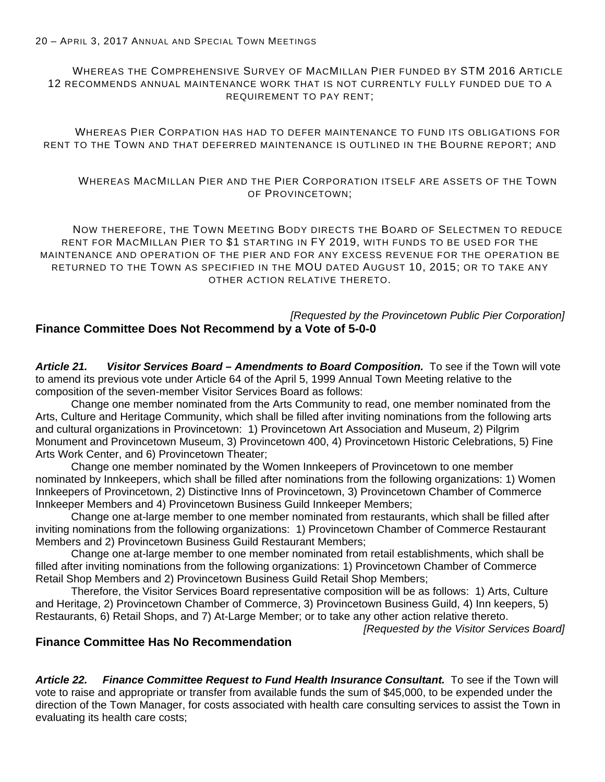WHEREAS THE COMPREHENSIVE SURVEY OF MACMILLAN PIER FUNDED BY STM 2016 ARTICLE 12 RECOMMENDS ANNUAL MAINTENANCE WORK THAT IS NOT CURRENTLY FULLY FUNDED DUE TO A REQUIREMENT TO PAY RENT;

 WHEREAS PIER CORPATION HAS HAD TO DEFER MAINTENANCE TO FUND ITS OBLIGATIONS FOR RENT TO THE TOWN AND THAT DEFERRED MAINTENANCE IS OUTLINED IN THE BOURNE REPORT; AND

 WHEREAS MACMILLAN PIER AND THE PIER CORPORATION ITSELF ARE ASSETS OF THE TOWN OF PROVINCETOWN;

 NOW THEREFORE, THE TOWN MEETING BODY DIRECTS THE BOARD OF SELECTMEN TO REDUCE RENT FOR MACMILLAN PIER TO \$1 STARTING IN FY 2019, WITH FUNDS TO BE USED FOR THE MAINTENANCE AND OPERATION OF THE PIER AND FOR ANY EXCESS REVENUE FOR THE OPERATION BE RETURNED TO THE TOWN AS SPECIFIED IN THE MOU DATED AUGUST 10, 2015; OR TO TAKE ANY OTHER ACTION RELATIVE THERETO.

#### *[Requested by the Provincetown Public Pier Corporation]*  **Finance Committee Does Not Recommend by a Vote of 5-0-0**

Article 21. Visitor Services Board – Amendments to Board Composition. To see if the Town will vote to amend its previous vote under Article 64 of the April 5, 1999 Annual Town Meeting relative to the composition of the seven-member Visitor Services Board as follows:

Change one member nominated from the Arts Community to read, one member nominated from the Arts, Culture and Heritage Community, which shall be filled after inviting nominations from the following arts and cultural organizations in Provincetown: 1) Provincetown Art Association and Museum, 2) Pilgrim Monument and Provincetown Museum, 3) Provincetown 400, 4) Provincetown Historic Celebrations, 5) Fine Arts Work Center, and 6) Provincetown Theater;

Change one member nominated by the Women Innkeepers of Provincetown to one member nominated by Innkeepers, which shall be filled after nominations from the following organizations: 1) Women Innkeepers of Provincetown, 2) Distinctive Inns of Provincetown, 3) Provincetown Chamber of Commerce Innkeeper Members and 4) Provincetown Business Guild Innkeeper Members;

Change one at-large member to one member nominated from restaurants, which shall be filled after inviting nominations from the following organizations: 1) Provincetown Chamber of Commerce Restaurant Members and 2) Provincetown Business Guild Restaurant Members;

Change one at-large member to one member nominated from retail establishments, which shall be filled after inviting nominations from the following organizations: 1) Provincetown Chamber of Commerce Retail Shop Members and 2) Provincetown Business Guild Retail Shop Members;

Therefore, the Visitor Services Board representative composition will be as follows: 1) Arts, Culture and Heritage, 2) Provincetown Chamber of Commerce, 3) Provincetown Business Guild, 4) Inn keepers, 5) Restaurants, 6) Retail Shops, and 7) At-Large Member; or to take any other action relative thereto.

 *[Requested by the Visitor Services Board]* 

#### **Finance Committee Has No Recommendation**

Article 22. Finance Committee Request to Fund Health Insurance Consultant. To see if the Town will vote to raise and appropriate or transfer from available funds the sum of \$45,000, to be expended under the direction of the Town Manager, for costs associated with health care consulting services to assist the Town in evaluating its health care costs;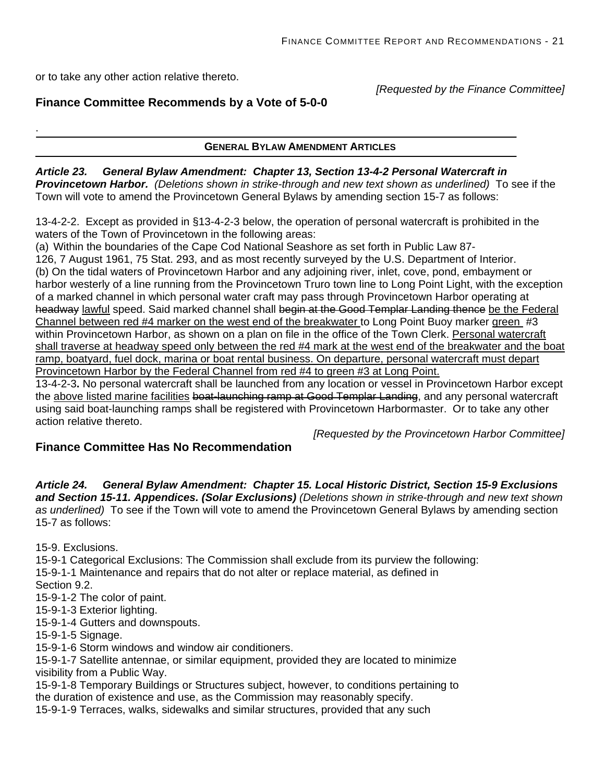or to take any other action relative thereto.

.

 *[Requested by the Finance Committee]* 

## **Finance Committee Recommends by a Vote of 5-0-0**

**GENERAL BYLAW AMENDMENT ARTICLES** 

*Article 23. General Bylaw Amendment: Chapter 13, Section 13-4-2 Personal Watercraft in Provincetown Harbor. (Deletions shown in strike-through and new text shown as underlined)* To see if the Town will vote to amend the Provincetown General Bylaws by amending section 15-7 as follows:

13-4-2-2. Except as provided in §13-4-2-3 below, the operation of personal watercraft is prohibited in the waters of the Town of Provincetown in the following areas:

(a) Within the boundaries of the Cape Cod National Seashore as set forth in Public Law 87- 126, 7 August 1961, 75 Stat. 293, and as most recently surveyed by the U.S. Department of Interior. (b) On the tidal waters of Provincetown Harbor and any adjoining river, inlet, cove, pond, embayment or harbor westerly of a line running from the Provincetown Truro town line to Long Point Light, with the exception of a marked channel in which personal water craft may pass through Provincetown Harbor operating at headway lawful speed. Said marked channel shall begin at the Good Templar Landing thence be the Federal Channel between red #4 marker on the west end of the breakwater to Long Point Buoy marker green #3 within Provincetown Harbor, as shown on a plan on file in the office of the Town Clerk. Personal watercraft shall traverse at headway speed only between the red #4 mark at the west end of the breakwater and the boat ramp, boatyard, fuel dock, marina or boat rental business. On departure, personal watercraft must depart Provincetown Harbor by the Federal Channel from red #4 to green #3 at Long Point.

13-4-2-3**.** No personal watercraft shall be launched from any location or vessel in Provincetown Harbor except the above listed marine facilities boat-launching ramp at Good Templar Landing, and any personal watercraft using said boat-launching ramps shall be registered with Provincetown Harbormaster. Or to take any other action relative thereto.

*[Requested by the Provincetown Harbor Committee]* 

## **Finance Committee Has No Recommendation**

*Article 24. General Bylaw Amendment: Chapter 15. Local Historic District, Section 15-9 Exclusions*

*and Section 15-11. Appendices. (Solar Exclusions) (Deletions shown in strike-through and new text shown as underlined)* To see if the Town will vote to amend the Provincetown General Bylaws by amending section 15-7 as follows:

15-9. Exclusions.

15-9-1 Categorical Exclusions: The Commission shall exclude from its purview the following: 15-9-1-1 Maintenance and repairs that do not alter or replace material, as defined in Section 9.2.

15-9-1-2 The color of paint.

15-9-1-3 Exterior lighting.

15-9-1-4 Gutters and downspouts.

15-9-1-5 Signage.

15-9-1-6 Storm windows and window air conditioners.

15-9-1-7 Satellite antennae, or similar equipment, provided they are located to minimize visibility from a Public Way.

15-9-1-8 Temporary Buildings or Structures subject, however, to conditions pertaining to the duration of existence and use, as the Commission may reasonably specify. 15-9-1-9 Terraces, walks, sidewalks and similar structures, provided that any such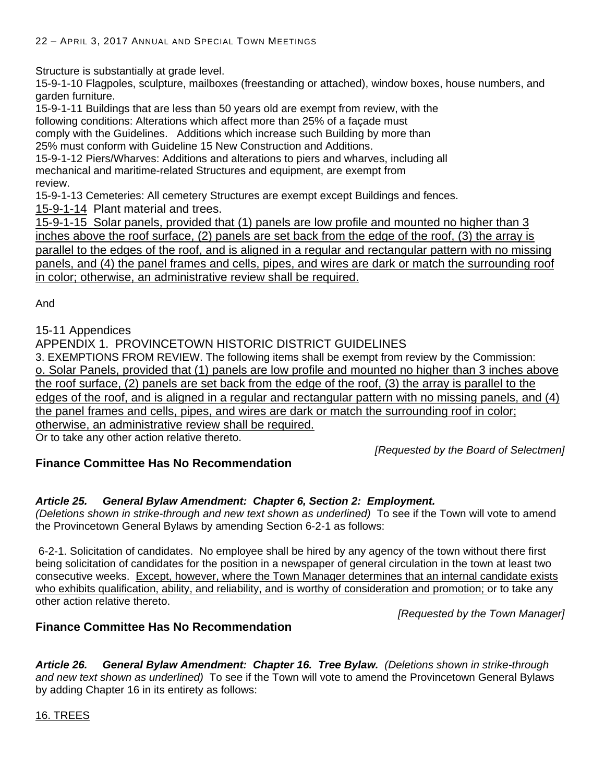Structure is substantially at grade level.

15-9-1-10 Flagpoles, sculpture, mailboxes (freestanding or attached), window boxes, house numbers, and garden furniture.

15-9-1-11 Buildings that are less than 50 years old are exempt from review, with the following conditions: Alterations which affect more than 25% of a façade must

comply with the Guidelines. Additions which increase such Building by more than 25% must conform with Guideline 15 New Construction and Additions.

15-9-1-12 Piers/Wharves: Additions and alterations to piers and wharves, including all mechanical and maritime-related Structures and equipment, are exempt from review.

15-9-1-13 Cemeteries: All cemetery Structures are exempt except Buildings and fences.

15-9-1-14 Plant material and trees.

15-9-1-15 Solar panels, provided that (1) panels are low profile and mounted no higher than 3 inches above the roof surface, (2) panels are set back from the edge of the roof, (3) the array is parallel to the edges of the roof, and is aligned in a regular and rectangular pattern with no missing panels, and (4) the panel frames and cells, pipes, and wires are dark or match the surrounding roof in color; otherwise, an administrative review shall be required.

And

15-11 Appendices

APPENDIX 1. PROVINCETOWN HISTORIC DISTRICT GUIDELINES

3. EXEMPTIONS FROM REVIEW. The following items shall be exempt from review by the Commission: o. Solar Panels, provided that (1) panels are low profile and mounted no higher than 3 inches above the roof surface, (2) panels are set back from the edge of the roof, (3) the array is parallel to the edges of the roof, and is aligned in a regular and rectangular pattern with no missing panels, and (4) the panel frames and cells, pipes, and wires are dark or match the surrounding roof in color; otherwise, an administrative review shall be required.

Or to take any other action relative thereto.

 *[Requested by the Board of Selectmen]* 

## **Finance Committee Has No Recommendation**

## *Article 25. General Bylaw Amendment: Chapter 6, Section 2: Employment.*

*(Deletions shown in strike-through and new text shown as underlined)* To see if the Town will vote to amend the Provincetown General Bylaws by amending Section 6-2-1 as follows:

6-2-1. Solicitation of candidates. No employee shall be hired by any agency of the town without there first being solicitation of candidates for the position in a newspaper of general circulation in the town at least two consecutive weeks. Except, however, where the Town Manager determines that an internal candidate exists who exhibits qualification, ability, and reliability, and is worthy of consideration and promotion; or to take any other action relative thereto.

*[Requested by the Town Manager]* 

## **Finance Committee Has No Recommendation**

*Article 26. General Bylaw Amendment: Chapter 16. Tree Bylaw. (Deletions shown in strike-through and new text shown as underlined)* To see if the Town will vote to amend the Provincetown General Bylaws by adding Chapter 16 in its entirety as follows:

## 16. TREES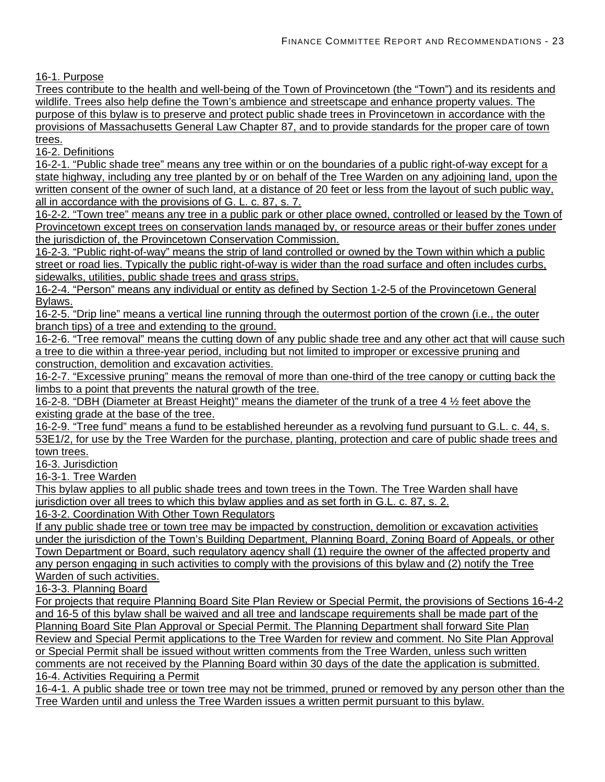16-1. Purpose

Trees contribute to the health and well-being of the Town of Provincetown (the "Town") and its residents and wildlife. Trees also help define the Town's ambience and streetscape and enhance property values. The purpose of this bylaw is to preserve and protect public shade trees in Provincetown in accordance with the provisions of Massachusetts General Law Chapter 87, and to provide standards for the proper care of town trees.

16-2. Definitions

16-2-1. "Public shade tree" means any tree within or on the boundaries of a public right-of-way except for a state highway, including any tree planted by or on behalf of the Tree Warden on any adjoining land, upon the written consent of the owner of such land, at a distance of 20 feet or less from the layout of such public way, all in accordance with the provisions of G. L. c. 87, s. 7.

16-2-2. "Town tree" means any tree in a public park or other place owned, controlled or leased by the Town of Provincetown except trees on conservation lands managed by, or resource areas or their buffer zones under the jurisdiction of, the Provincetown Conservation Commission.

16-2-3. "Public right-of-way" means the strip of land controlled or owned by the Town within which a public street or road lies. Typically the public right-of-way is wider than the road surface and often includes curbs, sidewalks, utilities, public shade trees and grass strips.

16-2-4. "Person" means any individual or entity as defined by Section 1-2-5 of the Provincetown General Bylaws.

16-2-5. "Drip line" means a vertical line running through the outermost portion of the crown (i.e., the outer branch tips) of a tree and extending to the ground.

16-2-6. "Tree removal" means the cutting down of any public shade tree and any other act that will cause such a tree to die within a three-year period, including but not limited to improper or excessive pruning and construction, demolition and excavation activities.

16-2-7. "Excessive pruning" means the removal of more than one-third of the tree canopy or cutting back the limbs to a point that prevents the natural growth of the tree.

16-2-8. "DBH (Diameter at Breast Height)" means the diameter of the trunk of a tree 4 ½ feet above the existing grade at the base of the tree.

16-2-9. "Tree fund" means a fund to be established hereunder as a revolving fund pursuant to G.L. c. 44, s. 53E1/2, for use by the Tree Warden for the purchase, planting, protection and care of public shade trees and town trees.

16-3. Jurisdiction

16-3-1. Tree Warden

This bylaw applies to all public shade trees and town trees in the Town. The Tree Warden shall have jurisdiction over all trees to which this bylaw applies and as set forth in G.L. c. 87, s. 2. 16-3-2. Coordination With Other Town Regulators

If any public shade tree or town tree may be impacted by construction, demolition or excavation activities under the jurisdiction of the Town's Building Department, Planning Board, Zoning Board of Appeals, or other Town Department or Board, such regulatory agency shall (1) require the owner of the affected property and any person engaging in such activities to comply with the provisions of this bylaw and (2) notify the Tree Warden of such activities.

16-3-3. Planning Board

For projects that require Planning Board Site Plan Review or Special Permit, the provisions of Sections 16-4-2 and 16-5 of this bylaw shall be waived and all tree and landscape requirements shall be made part of the Planning Board Site Plan Approval or Special Permit. The Planning Department shall forward Site Plan Review and Special Permit applications to the Tree Warden for review and comment. No Site Plan Approval or Special Permit shall be issued without written comments from the Tree Warden, unless such written comments are not received by the Planning Board within 30 days of the date the application is submitted. 16-4. Activities Requiring a Permit

16-4-1. A public shade tree or town tree may not be trimmed, pruned or removed by any person other than the Tree Warden until and unless the Tree Warden issues a written permit pursuant to this bylaw.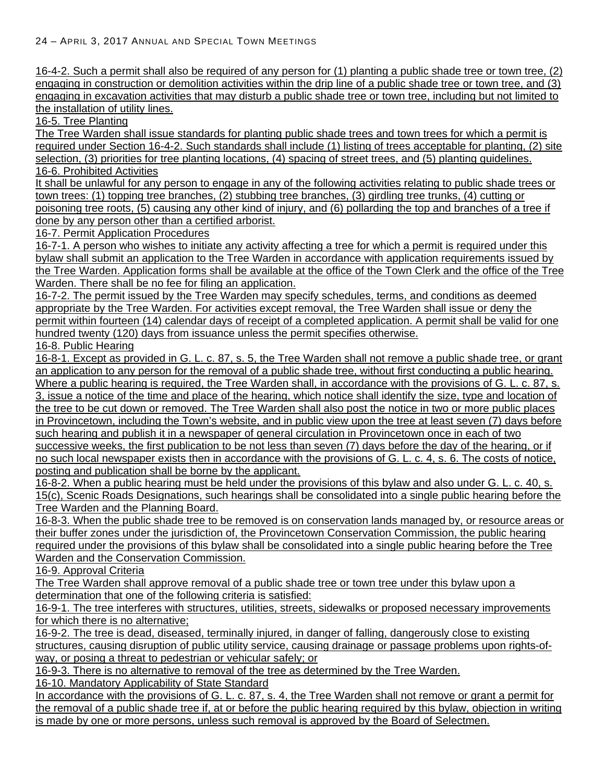16-4-2. Such a permit shall also be required of any person for (1) planting a public shade tree or town tree, (2) engaging in construction or demolition activities within the drip line of a public shade tree or town tree, and (3) engaging in excavation activities that may disturb a public shade tree or town tree, including but not limited to the installation of utility lines.

16-5. Tree Planting

The Tree Warden shall issue standards for planting public shade trees and town trees for which a permit is required under Section 16-4-2. Such standards shall include (1) listing of trees acceptable for planting, (2) site selection, (3) priorities for tree planting locations, (4) spacing of street trees, and (5) planting guidelines. 16-6. Prohibited Activities

It shall be unlawful for any person to engage in any of the following activities relating to public shade trees or town trees: (1) topping tree branches, (2) stubbing tree branches, (3) girdling tree trunks, (4) cutting or poisoning tree roots, (5) causing any other kind of injury, and (6) pollarding the top and branches of a tree if done by any person other than a certified arborist.

16-7. Permit Application Procedures

16-7-1. A person who wishes to initiate any activity affecting a tree for which a permit is required under this bylaw shall submit an application to the Tree Warden in accordance with application requirements issued by the Tree Warden. Application forms shall be available at the office of the Town Clerk and the office of the Tree Warden. There shall be no fee for filing an application.

16-7-2. The permit issued by the Tree Warden may specify schedules, terms, and conditions as deemed appropriate by the Tree Warden. For activities except removal, the Tree Warden shall issue or deny the permit within fourteen (14) calendar days of receipt of a completed application. A permit shall be valid for one hundred twenty (120) days from issuance unless the permit specifies otherwise.

16-8. Public Hearing

16-8-1. Except as provided in G. L. c. 87, s. 5, the Tree Warden shall not remove a public shade tree, or grant an application to any person for the removal of a public shade tree, without first conducting a public hearing. Where a public hearing is required, the Tree Warden shall, in accordance with the provisions of G. L. c. 87, s. 3, issue a notice of the time and place of the hearing, which notice shall identify the size, type and location of the tree to be cut down or removed. The Tree Warden shall also post the notice in two or more public places in Provincetown, including the Town's website, and in public view upon the tree at least seven (7) days before such hearing and publish it in a newspaper of general circulation in Provincetown once in each of two successive weeks, the first publication to be not less than seven (7) days before the day of the hearing, or if no such local newspaper exists then in accordance with the provisions of G. L. c. 4, s. 6. The costs of notice, posting and publication shall be borne by the applicant.

16-8-2. When a public hearing must be held under the provisions of this bylaw and also under G. L. c. 40, s. 15(c), Scenic Roads Designations, such hearings shall be consolidated into a single public hearing before the Tree Warden and the Planning Board.

16-8-3. When the public shade tree to be removed is on conservation lands managed by, or resource areas or their buffer zones under the jurisdiction of, the Provincetown Conservation Commission, the public hearing required under the provisions of this bylaw shall be consolidated into a single public hearing before the Tree Warden and the Conservation Commission.

16-9. Approval Criteria

The Tree Warden shall approve removal of a public shade tree or town tree under this bylaw upon a determination that one of the following criteria is satisfied:

16-9-1. The tree interferes with structures, utilities, streets, sidewalks or proposed necessary improvements for which there is no alternative;

16-9-2. The tree is dead, diseased, terminally injured, in danger of falling, dangerously close to existing structures, causing disruption of public utility service, causing drainage or passage problems upon rights-ofway, or posing a threat to pedestrian or vehicular safely; or

16-9-3. There is no alternative to removal of the tree as determined by the Tree Warden. 16-10. Mandatory Applicability of State Standard

In accordance with the provisions of G. L. c. 87, s. 4, the Tree Warden shall not remove or grant a permit for the removal of a public shade tree if, at or before the public hearing required by this bylaw, objection in writing is made by one or more persons, unless such removal is approved by the Board of Selectmen.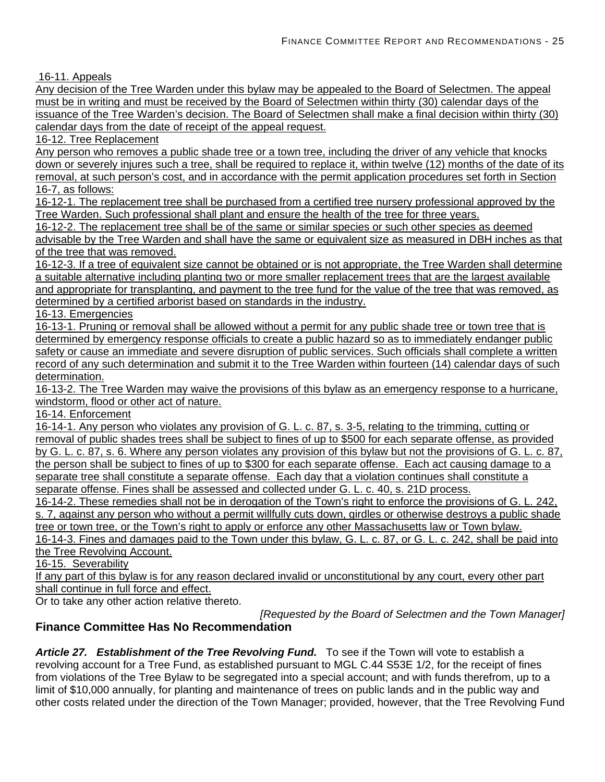16-11. Appeals

Any decision of the Tree Warden under this bylaw may be appealed to the Board of Selectmen. The appeal must be in writing and must be received by the Board of Selectmen within thirty (30) calendar days of the issuance of the Tree Warden's decision. The Board of Selectmen shall make a final decision within thirty (30) calendar days from the date of receipt of the appeal request.

16-12. Tree Replacement

Any person who removes a public shade tree or a town tree, including the driver of any vehicle that knocks down or severely injures such a tree, shall be required to replace it, within twelve (12) months of the date of its removal, at such person's cost, and in accordance with the permit application procedures set forth in Section 16-7, as follows:

16-12-1. The replacement tree shall be purchased from a certified tree nursery professional approved by the Tree Warden. Such professional shall plant and ensure the health of the tree for three years.

16-12-2. The replacement tree shall be of the same or similar species or such other species as deemed advisable by the Tree Warden and shall have the same or equivalent size as measured in DBH inches as that of the tree that was removed.

16-12-3. If a tree of equivalent size cannot be obtained or is not appropriate, the Tree Warden shall determine a suitable alternative including planting two or more smaller replacement trees that are the largest available and appropriate for transplanting, and payment to the tree fund for the value of the tree that was removed, as determined by a certified arborist based on standards in the industry.

16-13. Emergencies

16-13-1. Pruning or removal shall be allowed without a permit for any public shade tree or town tree that is determined by emergency response officials to create a public hazard so as to immediately endanger public safety or cause an immediate and severe disruption of public services. Such officials shall complete a written record of any such determination and submit it to the Tree Warden within fourteen (14) calendar days of such determination.

16-13-2. The Tree Warden may waive the provisions of this bylaw as an emergency response to a hurricane, windstorm, flood or other act of nature.

16-14. Enforcement

16-14-1. Any person who violates any provision of G. L. c. 87, s. 3-5, relating to the trimming, cutting or removal of public shades trees shall be subject to fines of up to \$500 for each separate offense, as provided by G. L. c. 87, s. 6. Where any person violates any provision of this bylaw but not the provisions of G. L. c. 87, the person shall be subject to fines of up to \$300 for each separate offense. Each act causing damage to a separate tree shall constitute a separate offense. Each day that a violation continues shall constitute a separate offense. Fines shall be assessed and collected under G. L. c. 40, s. 21D process.

16-14-2. These remedies shall not be in derogation of the Town's right to enforce the provisions of G. L. 242, s. 7, against any person who without a permit willfully cuts down, girdles or otherwise destroys a public shade tree or town tree, or the Town's right to apply or enforce any other Massachusetts law or Town bylaw.

16-14-3. Fines and damages paid to the Town under this bylaw, G. L. c. 87, or G. L. c. 242, shall be paid into the Tree Revolving Account.

16-15. Severability

If any part of this bylaw is for any reason declared invalid or unconstitutional by any court, every other part shall continue in full force and effect.

Or to take any other action relative thereto.

 *[Requested by the Board of Selectmen and the Town Manager]* 

## **Finance Committee Has No Recommendation**

Article 27. Establishment of the Tree Revolving Fund. To see if the Town will vote to establish a revolving account for a Tree Fund, as established pursuant to MGL C.44 S53E 1/2, for the receipt of fines from violations of the Tree Bylaw to be segregated into a special account; and with funds therefrom, up to a limit of \$10,000 annually, for planting and maintenance of trees on public lands and in the public way and other costs related under the direction of the Town Manager; provided, however, that the Tree Revolving Fund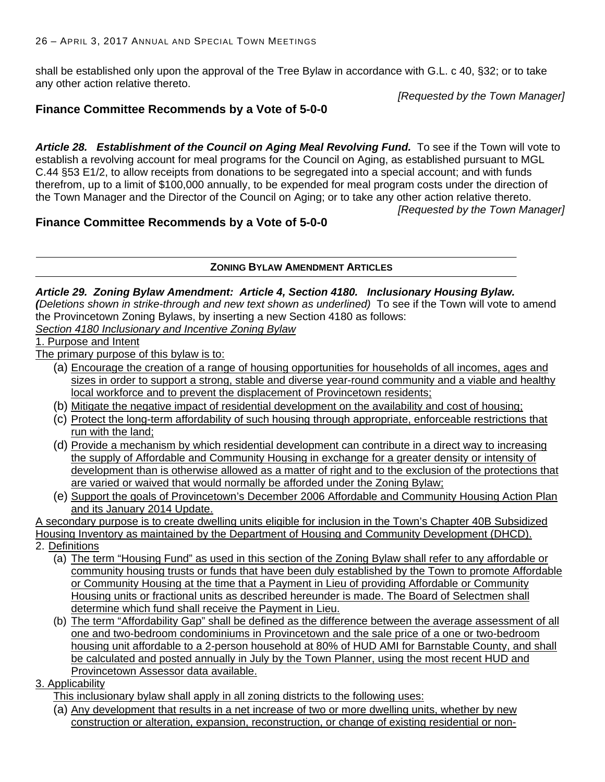shall be established only upon the approval of the Tree Bylaw in accordance with G.L. c 40, §32; or to take any other action relative thereto.

*[Requested by the Town Manager]* 

## **Finance Committee Recommends by a Vote of 5-0-0**

Article 28. Establishment of the Council on Aging Meal Revolving Fund. To see if the Town will vote to establish a revolving account for meal programs for the Council on Aging, as established pursuant to MGL C.44 §53 E1/2, to allow receipts from donations to be segregated into a special account; and with funds therefrom, up to a limit of \$100,000 annually, to be expended for meal program costs under the direction of the Town Manager and the Director of the Council on Aging; or to take any other action relative thereto.

*[Requested by the Town Manager]* 

## **Finance Committee Recommends by a Vote of 5-0-0**

#### **ZONING BYLAW AMENDMENT ARTICLES**

#### *Article 29. Zoning Bylaw Amendment: Article 4, Section 4180. Inclusionary Housing Bylaw.*

*(Deletions shown in strike-through and new text shown as underlined)* To see if the Town will vote to amend the Provincetown Zoning Bylaws, by inserting a new Section 4180 as follows:

*Section 4180 Inclusionary and Incentive Zoning Bylaw* 

1. Purpose and Intent

The primary purpose of this bylaw is to:

- (a) Encourage the creation of a range of housing opportunities for households of all incomes, ages and sizes in order to support a strong, stable and diverse year-round community and a viable and healthy local workforce and to prevent the displacement of Provincetown residents;
- (b) Mitigate the negative impact of residential development on the availability and cost of housing;
- (c) Protect the long-term affordability of such housing through appropriate, enforceable restrictions that run with the land;
- (d) Provide a mechanism by which residential development can contribute in a direct way to increasing the supply of Affordable and Community Housing in exchange for a greater density or intensity of development than is otherwise allowed as a matter of right and to the exclusion of the protections that are varied or waived that would normally be afforded under the Zoning Bylaw;
- (e) Support the goals of Provincetown's December 2006 Affordable and Community Housing Action Plan and its January 2014 Update.

A secondary purpose is to create dwelling units eligible for inclusion in the Town's Chapter 40B Subsidized Housing Inventory as maintained by the Department of Housing and Community Development (DHCD).

2. Definitions

- (a) The term "Housing Fund" as used in this section of the Zoning Bylaw shall refer to any affordable or community housing trusts or funds that have been duly established by the Town to promote Affordable or Community Housing at the time that a Payment in Lieu of providing Affordable or Community Housing units or fractional units as described hereunder is made. The Board of Selectmen shall determine which fund shall receive the Payment in Lieu.
- (b) The term "Affordability Gap" shall be defined as the difference between the average assessment of all one and two-bedroom condominiums in Provincetown and the sale price of a one or two-bedroom housing unit affordable to a 2-person household at 80% of HUD AMI for Barnstable County, and shall be calculated and posted annually in July by the Town Planner, using the most recent HUD and Provincetown Assessor data available.

3. Applicability

This inclusionary bylaw shall apply in all zoning districts to the following uses:

(a) Any development that results in a net increase of two or more dwelling units, whether by new construction or alteration, expansion, reconstruction, or change of existing residential or non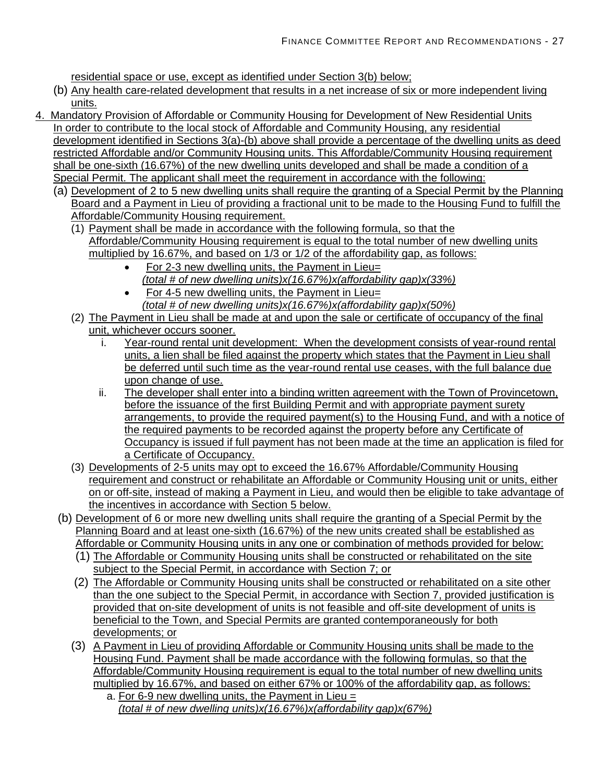residential space or use, except as identified under Section 3(b) below;

- (b) Any health care-related development that results in a net increase of six or more independent living units.
- 4. Mandatory Provision of Affordable or Community Housing for Development of New Residential Units In order to contribute to the local stock of Affordable and Community Housing, any residential development identified in Sections 3(a)-(b) above shall provide a percentage of the dwelling units as deed restricted Affordable and/or Community Housing units. This Affordable/Community Housing requirement shall be one-sixth (16.67%) of the new dwelling units developed and shall be made a condition of a Special Permit. The applicant shall meet the requirement in accordance with the following:
	- (a) Development of 2 to 5 new dwelling units shall require the granting of a Special Permit by the Planning Board and a Payment in Lieu of providing a fractional unit to be made to the Housing Fund to fulfill the Affordable/Community Housing requirement.
		- (1) Payment shall be made in accordance with the following formula, so that the Affordable/Community Housing requirement is equal to the total number of new dwelling units multiplied by 16.67%, and based on 1/3 or 1/2 of the affordability gap, as follows:
			- For 2-3 new dwelling units, the Payment in Lieu= *(total # of new dwelling units)x(16.67%)x(affordability gap)x(33%)*
			- For 4-5 new dwelling units, the Payment in Lieu= *(total # of new dwelling units)x(16.67%)x(affordability gap)x(50%)*
		- (2) The Payment in Lieu shall be made at and upon the sale or certificate of occupancy of the final unit, whichever occurs sooner.
			- i. Year-round rental unit development: When the development consists of year-round rental units, a lien shall be filed against the property which states that the Payment in Lieu shall be deferred until such time as the year-round rental use ceases, with the full balance due upon change of use.
			- ii. The developer shall enter into a binding written agreement with the Town of Provincetown, before the issuance of the first Building Permit and with appropriate payment surety arrangements, to provide the required payment(s) to the Housing Fund, and with a notice of the required payments to be recorded against the property before any Certificate of Occupancy is issued if full payment has not been made at the time an application is filed for a Certificate of Occupancy.
		- (3) Developments of 2-5 units may opt to exceed the 16.67% Affordable/Community Housing requirement and construct or rehabilitate an Affordable or Community Housing unit or units, either on or off-site, instead of making a Payment in Lieu, and would then be eligible to take advantage of the incentives in accordance with Section 5 below.
	- (b) Development of 6 or more new dwelling units shall require the granting of a Special Permit by the Planning Board and at least one-sixth (16.67%) of the new units created shall be established as Affordable or Community Housing units in any one or combination of methods provided for below:
		- (1) The Affordable or Community Housing units shall be constructed or rehabilitated on the site subject to the Special Permit, in accordance with Section 7; or
		- (2) The Affordable or Community Housing units shall be constructed or rehabilitated on a site other than the one subject to the Special Permit, in accordance with Section 7, provided justification is provided that on-site development of units is not feasible and off-site development of units is beneficial to the Town, and Special Permits are granted contemporaneously for both developments; or
		- (3) A Payment in Lieu of providing Affordable or Community Housing units shall be made to the Housing Fund. Payment shall be made accordance with the following formulas, so that the Affordable/Community Housing requirement is equal to the total number of new dwelling units multiplied by 16.67%, and based on either 67% or 100% of the affordability gap, as follows:
			- a. For 6-9 new dwelling units, the Payment in Lieu  $=$ *(total # of new dwelling units)x(16.67%)x(affordability gap)x(67%)*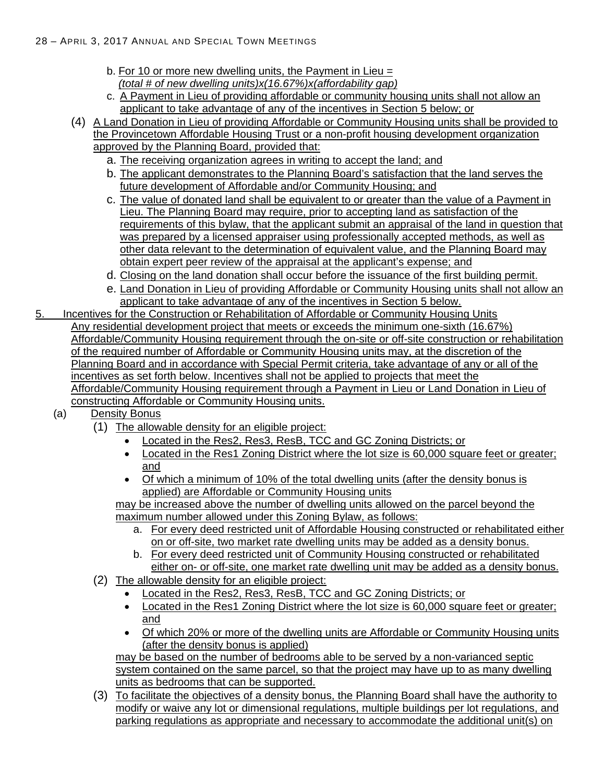- b. For 10 or more new dwelling units, the Payment in Lieu = *(total # of new dwelling units)x(16.67%)x(affordability gap)*
- c. A Payment in Lieu of providing affordable or community housing units shall not allow an applicant to take advantage of any of the incentives in Section 5 below; or
- (4) A Land Donation in Lieu of providing Affordable or Community Housing units shall be provided to the Provincetown Affordable Housing Trust or a non-profit housing development organization approved by the Planning Board, provided that:
	- a. The receiving organization agrees in writing to accept the land; and
	- b. The applicant demonstrates to the Planning Board's satisfaction that the land serves the future development of Affordable and/or Community Housing; and
	- c. The value of donated land shall be equivalent to or greater than the value of a Payment in Lieu. The Planning Board may require, prior to accepting land as satisfaction of the requirements of this bylaw, that the applicant submit an appraisal of the land in question that was prepared by a licensed appraiser using professionally accepted methods, as well as other data relevant to the determination of equivalent value, and the Planning Board may obtain expert peer review of the appraisal at the applicant's expense; and
	- d. Closing on the land donation shall occur before the issuance of the first building permit.
	- e. Land Donation in Lieu of providing Affordable or Community Housing units shall not allow an applicant to take advantage of any of the incentives in Section 5 below.
- 5. Incentives for the Construction or Rehabilitation of Affordable or Community Housing Units Any residential development project that meets or exceeds the minimum one-sixth (16.67%) Affordable/Community Housing requirement through the on-site or off-site construction or rehabilitation of the required number of Affordable or Community Housing units may, at the discretion of the Planning Board and in accordance with Special Permit criteria, take advantage of any or all of the incentives as set forth below. Incentives shall not be applied to projects that meet the Affordable/Community Housing requirement through a Payment in Lieu or Land Donation in Lieu of constructing Affordable or Community Housing units.
	- (a) Density Bonus
		- (1) The allowable density for an eligible project:
			- Located in the Res2, Res3, ResB, TCC and GC Zoning Districts; or
			- Located in the Res1 Zoning District where the lot size is 60,000 square feet or greater; and
			- Of which a minimum of 10% of the total dwelling units (after the density bonus is applied) are Affordable or Community Housing units

may be increased above the number of dwelling units allowed on the parcel beyond the maximum number allowed under this Zoning Bylaw, as follows:

- a. For every deed restricted unit of Affordable Housing constructed or rehabilitated either on or off-site, two market rate dwelling units may be added as a density bonus.
- b. For every deed restricted unit of Community Housing constructed or rehabilitated either on- or off-site, one market rate dwelling unit may be added as a density bonus.
- (2) The allowable density for an eligible project:
	- Located in the Res2, Res3, ResB, TCC and GC Zoning Districts; or
	- Located in the Res1 Zoning District where the lot size is 60,000 square feet or greater; and
	- Of which 20% or more of the dwelling units are Affordable or Community Housing units (after the density bonus is applied)

may be based on the number of bedrooms able to be served by a non-varianced septic system contained on the same parcel, so that the project may have up to as many dwelling units as bedrooms that can be supported.

(3) To facilitate the objectives of a density bonus, the Planning Board shall have the authority to modify or waive any lot or dimensional regulations, multiple buildings per lot regulations, and parking regulations as appropriate and necessary to accommodate the additional unit(s) on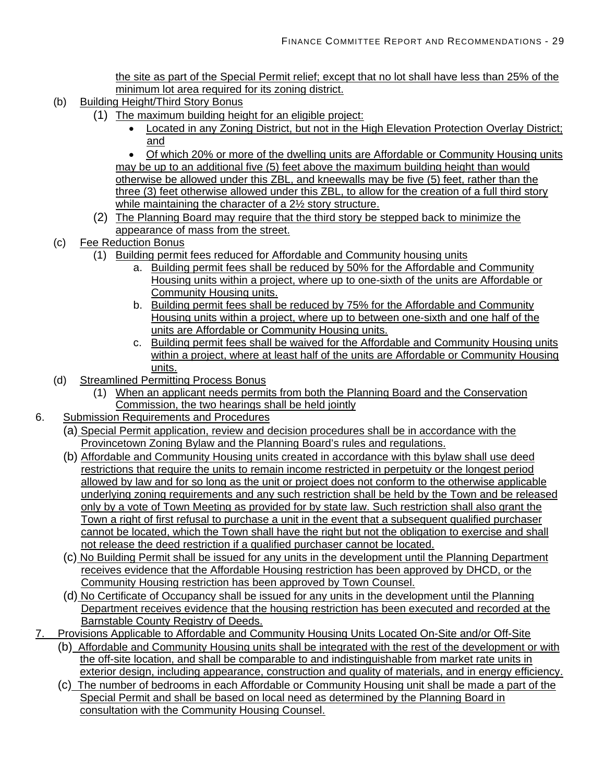the site as part of the Special Permit relief; except that no lot shall have less than 25% of the minimum lot area required for its zoning district.

- (b) Building Height/Third Story Bonus
	- (1) The maximum building height for an eligible project:
		- Located in any Zoning District, but not in the High Elevation Protection Overlay District; and

 Of which 20% or more of the dwelling units are Affordable or Community Housing units may be up to an additional five (5) feet above the maximum building height than would otherwise be allowed under this ZBL, and kneewalls may be five (5) feet, rather than the three (3) feet otherwise allowed under this ZBL, to allow for the creation of a full third story while maintaining the character of a 2½ story structure.

- (2) The Planning Board may require that the third story be stepped back to minimize the appearance of mass from the street.
- (c) Fee Reduction Bonus
	- (1) Building permit fees reduced for Affordable and Community housing units
		- a. Building permit fees shall be reduced by 50% for the Affordable and Community Housing units within a project, where up to one-sixth of the units are Affordable or Community Housing units.
		- b. Building permit fees shall be reduced by 75% for the Affordable and Community Housing units within a project, where up to between one-sixth and one half of the units are Affordable or Community Housing units.
		- c. Building permit fees shall be waived for the Affordable and Community Housing units within a project, where at least half of the units are Affordable or Community Housing units.
- (d) Streamlined Permitting Process Bonus
	- (1) When an applicant needs permits from both the Planning Board and the Conservation Commission, the two hearings shall be held jointly
- 6. Submission Requirements and Procedures
	- (a) Special Permit application, review and decision procedures shall be in accordance with the Provincetown Zoning Bylaw and the Planning Board's rules and regulations.
	- (b) Affordable and Community Housing units created in accordance with this bylaw shall use deed restrictions that require the units to remain income restricted in perpetuity or the longest period allowed by law and for so long as the unit or project does not conform to the otherwise applicable underlying zoning requirements and any such restriction shall be held by the Town and be released only by a vote of Town Meeting as provided for by state law. Such restriction shall also grant the Town a right of first refusal to purchase a unit in the event that a subsequent qualified purchaser cannot be located, which the Town shall have the right but not the obligation to exercise and shall not release the deed restriction if a qualified purchaser cannot be located.
	- (c) No Building Permit shall be issued for any units in the development until the Planning Department receives evidence that the Affordable Housing restriction has been approved by DHCD, or the Community Housing restriction has been approved by Town Counsel.
	- (d) No Certificate of Occupancy shall be issued for any units in the development until the Planning Department receives evidence that the housing restriction has been executed and recorded at the Barnstable County Registry of Deeds.
- 7. Provisions Applicable to Affordable and Community Housing Units Located On-Site and/or Off-Site
	- (b) Affordable and Community Housing units shall be integrated with the rest of the development or with the off-site location, and shall be comparable to and indistinguishable from market rate units in exterior design, including appearance, construction and quality of materials, and in energy efficiency.
	- (c) The number of bedrooms in each Affordable or Community Housing unit shall be made a part of the Special Permit and shall be based on local need as determined by the Planning Board in consultation with the Community Housing Counsel.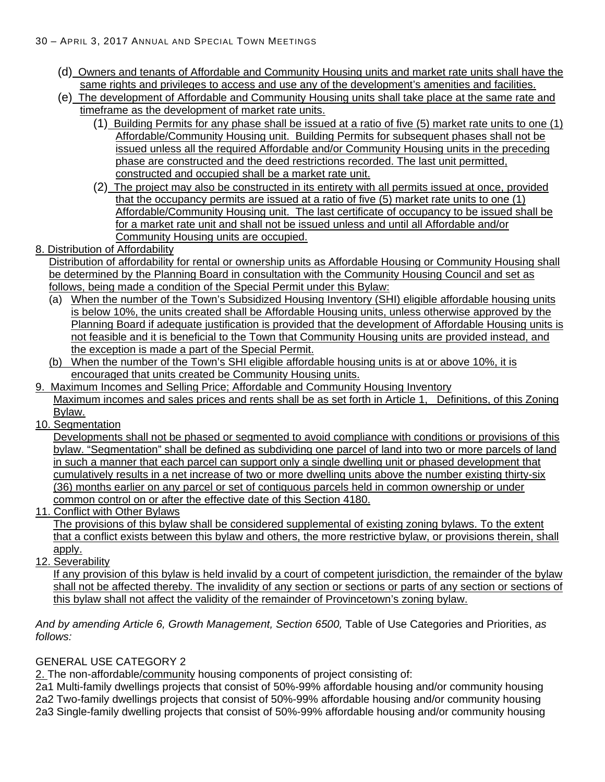- (d) Owners and tenants of Affordable and Community Housing units and market rate units shall have the same rights and privileges to access and use any of the development's amenities and facilities.
- (e) The development of Affordable and Community Housing units shall take place at the same rate and timeframe as the development of market rate units.
	- (1) Building Permits for any phase shall be issued at a ratio of five (5) market rate units to one (1) Affordable/Community Housing unit. Building Permits for subsequent phases shall not be issued unless all the required Affordable and/or Community Housing units in the preceding phase are constructed and the deed restrictions recorded. The last unit permitted, constructed and occupied shall be a market rate unit.
	- (2) The project may also be constructed in its entirety with all permits issued at once, provided that the occupancy permits are issued at a ratio of five (5) market rate units to one (1) Affordable/Community Housing unit. The last certificate of occupancy to be issued shall be for a market rate unit and shall not be issued unless and until all Affordable and/or Community Housing units are occupied.
- 8. Distribution of Affordability

Distribution of affordability for rental or ownership units as Affordable Housing or Community Housing shall be determined by the Planning Board in consultation with the Community Housing Council and set as follows, being made a condition of the Special Permit under this Bylaw:

- (a) When the number of the Town's Subsidized Housing Inventory (SHI) eligible affordable housing units is below 10%, the units created shall be Affordable Housing units, unless otherwise approved by the Planning Board if adequate justification is provided that the development of Affordable Housing units is not feasible and it is beneficial to the Town that Community Housing units are provided instead, and the exception is made a part of the Special Permit.
- (b) When the number of the Town's SHI eligible affordable housing units is at or above 10%, it is encouraged that units created be Community Housing units.
- 9. Maximum Incomes and Selling Price; Affordable and Community Housing Inventory Maximum incomes and sales prices and rents shall be as set forth in Article 1, Definitions, of this Zoning Bylaw.
- 10. Segmentation

Developments shall not be phased or segmented to avoid compliance with conditions or provisions of this bylaw. "Segmentation" shall be defined as subdividing one parcel of land into two or more parcels of land in such a manner that each parcel can support only a single dwelling unit or phased development that cumulatively results in a net increase of two or more dwelling units above the number existing thirty-six (36) months earlier on any parcel or set of contiguous parcels held in common ownership or under common control on or after the effective date of this Section 4180.

11. Conflict with Other Bylaws

The provisions of this bylaw shall be considered supplemental of existing zoning bylaws. To the extent that a conflict exists between this bylaw and others, the more restrictive bylaw, or provisions therein, shall apply.

12. Severability

If any provision of this bylaw is held invalid by a court of competent jurisdiction, the remainder of the bylaw shall not be affected thereby. The invalidity of any section or sections or parts of any section or sections of this bylaw shall not affect the validity of the remainder of Provincetown's zoning bylaw.

*And by amending Article 6, Growth Management, Section 6500,* Table of Use Categories and Priorities, *as follows:* 

## GENERAL USE CATEGORY 2

2. The non-affordable/community housing components of project consisting of:

2a1 Multi-family dwellings projects that consist of 50%-99% affordable housing and/or community housing

- 2a2 Two-family dwellings projects that consist of 50%-99% affordable housing and/or community housing
- 2a3 Single-family dwelling projects that consist of 50%-99% affordable housing and/or community housing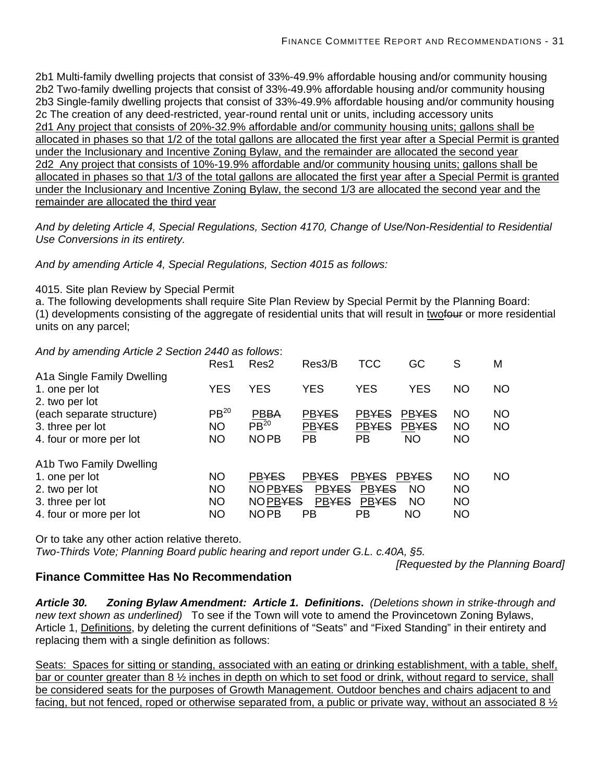2b1 Multi-family dwelling projects that consist of 33%-49.9% affordable housing and/or community housing 2b2 Two-family dwelling projects that consist of 33%-49.9% affordable housing and/or community housing 2b3 Single-family dwelling projects that consist of 33%-49.9% affordable housing and/or community housing 2c The creation of any deed-restricted, year-round rental unit or units, including accessory units 2d1 Any project that consists of 20%-32.9% affordable and/or community housing units; gallons shall be allocated in phases so that 1/2 of the total gallons are allocated the first year after a Special Permit is granted under the Inclusionary and Incentive Zoning Bylaw, and the remainder are allocated the second year 2d2 Any project that consists of 10%-19.9% affordable and/or community housing units; gallons shall be allocated in phases so that 1/3 of the total gallons are allocated the first year after a Special Permit is granted under the Inclusionary and Incentive Zoning Bylaw, the second 1/3 are allocated the second year and the remainder are allocated the third year

*And by deleting Article 4, Special Regulations, Section 4170, Change of Use/Non-Residential to Residential Use Conversions in its entirety.* 

*And by amending Article 4, Special Regulations, Section 4015 as follows:* 

4015. Site plan Review by Special Permit

a. The following developments shall require Site Plan Review by Special Permit by the Planning Board: (1) developments consisting of the aggregate of residential units that will result in twofeur or more residential units on any parcel;

*And by amending Article 2 Section 2440 as follows*:

|                            | Res1             | Res2             | Res3/B       | <b>TCC</b>   | GC           | S         | М         |
|----------------------------|------------------|------------------|--------------|--------------|--------------|-----------|-----------|
| A1a Single Family Dwelling |                  |                  |              |              |              |           |           |
| 1. one per lot             | <b>YES</b>       | <b>YES</b>       | <b>YES</b>   | <b>YES</b>   | <b>YES</b>   | NO        | NO.       |
| 2. two per lot             |                  |                  |              |              |              |           |           |
| (each separate structure)  | PB <sup>20</sup> | <b>PBBA</b>      | <b>PBYES</b> | <b>PBYES</b> | <b>PBYES</b> | NO        | NO.       |
| 3. three per lot           | <b>NO</b>        | PB <sup>20</sup> | <b>PBYES</b> | <b>PBYES</b> | <b>PBYES</b> | <b>NO</b> | <b>NO</b> |
| 4. four or more per lot    | <b>NO</b>        | <b>NOPB</b>      | РB           | <b>PB</b>    | ΝO           | <b>NO</b> |           |
| A1b Two Family Dwelling    |                  |                  |              |              |              |           |           |
| 1. one per lot             | <b>NO</b>        | <b>PBYES</b>     | <b>PBYES</b> | <b>PBYES</b> | <b>PBYES</b> | NO        | NO.       |
| 2. two per lot             | <b>NO</b>        | NO PBYES         | <b>PBYES</b> | <b>PBYES</b> | <b>NO</b>    | <b>NO</b> |           |
| 3. three per lot           | <b>NO</b>        | NO PBYES         | <b>PBYES</b> | <b>PBYES</b> | <b>NO</b>    | <b>NO</b> |           |
| 4. four or more per lot    | <b>NO</b>        | <b>NOPB</b>      | РB           | PB           | NO.          | <b>NO</b> |           |

Or to take any other action relative thereto. *Two-Thirds Vote; Planning Board public hearing and report under G.L. c.40A, §5.* 

*[Requested by the Planning Board]* 

## **Finance Committee Has No Recommendation**

*Article 30. Zoning Bylaw Amendment: Article 1. Definitions***.** *(Deletions shown in strike-through and new text shown as underlined)* To see if the Town will vote to amend the Provincetown Zoning Bylaws, Article 1, Definitions, by deleting the current definitions of "Seats" and "Fixed Standing" in their entirety and replacing them with a single definition as follows:

Seats: Spaces for sitting or standing, associated with an eating or drinking establishment, with a table, shelf, bar or counter greater than 8 ½ inches in depth on which to set food or drink, without regard to service, shall be considered seats for the purposes of Growth Management. Outdoor benches and chairs adjacent to and facing, but not fenced, roped or otherwise separated from, a public or private way, without an associated 8  $\frac{1}{2}$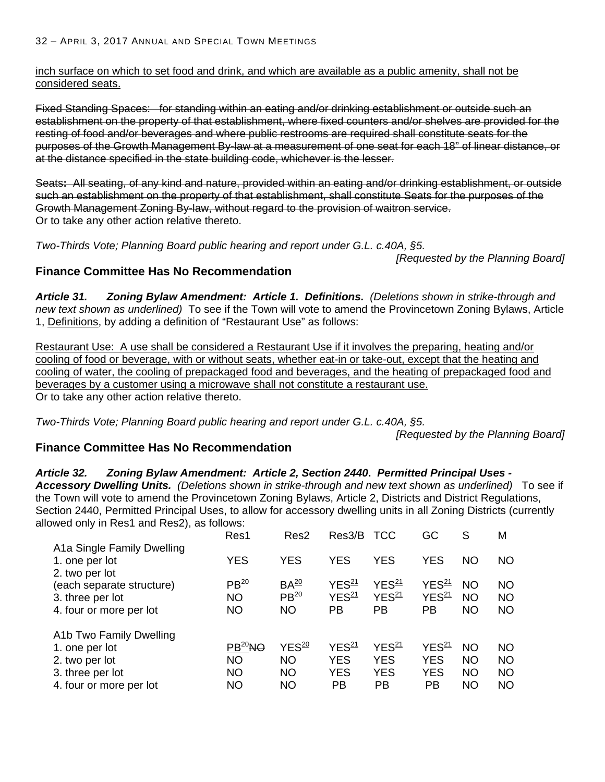inch surface on which to set food and drink, and which are available as a public amenity, shall not be considered seats.

Fixed Standing Spaces: for standing within an eating and/or drinking establishment or outside such an establishment on the property of that establishment, where fixed counters and/or shelves are provided for the resting of food and/or beverages and where public restrooms are required shall constitute seats for the purposes of the Growth Management By-law at a measurement of one seat for each 18" of linear distance, or at the distance specified in the state building code, whichever is the lesser.

Seats**:** All seating, of any kind and nature, provided within an eating and/or drinking establishment, or outside such an establishment on the property of that establishment, shall constitute Seats for the purposes of the Growth Management Zoning By-law, without regard to the provision of waitron service. Or to take any other action relative thereto.

*Two-Thirds Vote; Planning Board public hearing and report under G.L. c.40A, §5.* 

*[Requested by the Planning Board]* 

## **Finance Committee Has No Recommendation**

*Article 31. Zoning Bylaw Amendment: Article 1. Definitions.**(Deletions shown in strike-through and new text shown as underlined)* To see if the Town will vote to amend the Provincetown Zoning Bylaws, Article 1, Definitions, by adding a definition of "Restaurant Use" as follows:

Restaurant Use: A use shall be considered a Restaurant Use if it involves the preparing, heating and/or cooling of food or beverage, with or without seats, whether eat-in or take-out, except that the heating and cooling of water, the cooling of prepackaged food and beverages, and the heating of prepackaged food and beverages by a customer using a microwave shall not constitute a restaurant use. Or to take any other action relative thereto.

*Two-Thirds Vote; Planning Board public hearing and report under G.L. c.40A, §5.* 

*[Requested by the Planning Board]* 

## **Finance Committee Has No Recommendation**

#### *Article 32. Zoning Bylaw Amendment: Article 2, Section 2440***.** *Permitted Principal Uses -*

*Accessory Dwelling Units. (Deletions shown in strike-through and new text shown as underlined)* To see if the Town will vote to amend the Provincetown Zoning Bylaws, Article 2, Districts and District Regulations, Section 2440, Permitted Principal Uses, to allow for accessory dwelling units in all Zoning Districts (currently allowed only in Res1 and Res2), as follows:

|                                                                                            | Res1                                       | Res2                                              | Res3/B                                              | <b>TCC</b>                                   | GC                                                  | S                                   | M                                   |
|--------------------------------------------------------------------------------------------|--------------------------------------------|---------------------------------------------------|-----------------------------------------------------|----------------------------------------------|-----------------------------------------------------|-------------------------------------|-------------------------------------|
| A1a Single Family Dwelling<br>1. one per lot                                               | <b>YES</b>                                 | <b>YES</b>                                        | <b>YES</b>                                          | <b>YES</b>                                   | <b>YES</b>                                          | <b>NO</b>                           | <b>NO</b>                           |
| 2. two per lot<br>(each separate structure)<br>3. three per lot<br>4. four or more per lot | PB <sup>20</sup><br><b>NO</b><br><b>NO</b> | BA <sup>20</sup><br>PB <sup>20</sup><br><b>NO</b> | YES <sup>21</sup><br>YES <sup>21</sup><br><b>PB</b> | YES <sup>21</sup><br>YES <sup>21</sup><br>PB | YES <sup>21</sup><br>YES <sup>21</sup><br><b>PB</b> | <b>NO</b><br><b>NO</b><br><b>NO</b> | <b>NO</b><br><b>NO</b><br><b>NO</b> |
| A1b Two Family Dwelling                                                                    |                                            |                                                   |                                                     |                                              |                                                     |                                     |                                     |
| 1. one per lot                                                                             | $PB20$ NO                                  | YES <sup>20</sup>                                 | YES <sup>21</sup>                                   | YES <sup>21</sup>                            | YES <sup>21</sup>                                   | <b>NO</b>                           | <b>NO</b>                           |
| 2. two per lot                                                                             | <b>NO</b>                                  | <b>NO</b>                                         | <b>YES</b>                                          | <b>YES</b>                                   | <b>YES</b>                                          | <b>NO</b>                           | <b>NO</b>                           |
| 3. three per lot                                                                           | <b>NO</b>                                  | <b>NO</b>                                         | <b>YES</b>                                          | <b>YES</b>                                   | <b>YES</b>                                          | <b>NO</b>                           | <b>NO</b>                           |
| 4. four or more per lot                                                                    | <b>NO</b>                                  | <b>NO</b>                                         | <b>PB</b>                                           | PB                                           | <b>PB</b>                                           | <b>NO</b>                           | <b>NO</b>                           |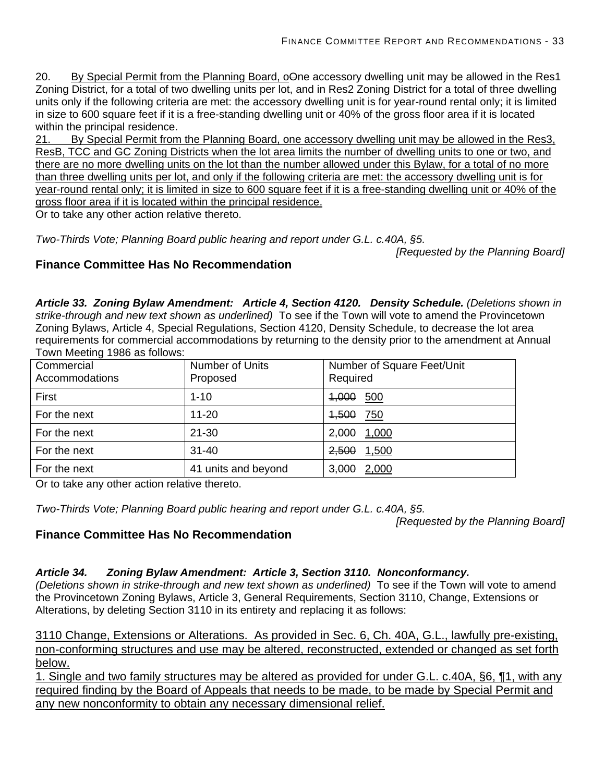20. By Special Permit from the Planning Board, oOne accessory dwelling unit may be allowed in the Res1 Zoning District, for a total of two dwelling units per lot, and in Res2 Zoning District for a total of three dwelling units only if the following criteria are met: the accessory dwelling unit is for year-round rental only; it is limited in size to 600 square feet if it is a free-standing dwelling unit or 40% of the gross floor area if it is located within the principal residence.

21. By Special Permit from the Planning Board, one accessory dwelling unit may be allowed in the Res3, ResB, TCC and GC Zoning Districts when the lot area limits the number of dwelling units to one or two, and there are no more dwelling units on the lot than the number allowed under this Bylaw, for a total of no more than three dwelling units per lot, and only if the following criteria are met: the accessory dwelling unit is for year-round rental only; it is limited in size to 600 square feet if it is a free-standing dwelling unit or 40% of the gross floor area if it is located within the principal residence.

Or to take any other action relative thereto.

*Two-Thirds Vote; Planning Board public hearing and report under G.L. c.40A, §5.* 

*[Requested by the Planning Board]* 

## **Finance Committee Has No Recommendation**

Article 33. Zoning Bylaw Amendment: Article 4, Section 4120. Density Schedule. (Deletions shown in *strike-through and new text shown as underlined)* To see if the Town will vote to amend the Provincetown Zoning Bylaws, Article 4, Special Regulations, Section 4120, Density Schedule, to decrease the lot area requirements for commercial accommodations by returning to the density prior to the amendment at Annual Town Meeting 1986 as follows:

| Commercial<br>Accommodations | Number of Units<br>Proposed | Number of Square Feet/Unit<br>Required |
|------------------------------|-----------------------------|----------------------------------------|
| First                        | $1 - 10$                    | <del>1,000</del> 500                   |
| For the next                 | $11 - 20$                   | 4,500 750                              |
| For the next                 | $21 - 30$                   | 2,000 1,000                            |
| For the next                 | $31 - 40$                   | 2,500 1,500                            |
| For the next                 | 41 units and beyond         | $3,000$ 2,000                          |

Or to take any other action relative thereto.

*Two-Thirds Vote; Planning Board public hearing and report under G.L. c.40A, §5.* 

*[Requested by the Planning Board]* 

## **Finance Committee Has No Recommendation**

## *Article 34. Zoning Bylaw Amendment: Article 3, Section 3110. Nonconformancy.*

*(Deletions shown in strike-through and new text shown as underlined)* To see if the Town will vote to amend the Provincetown Zoning Bylaws, Article 3, General Requirements, Section 3110, Change, Extensions or Alterations, by deleting Section 3110 in its entirety and replacing it as follows:

3110 Change, Extensions or Alterations. As provided in Sec. 6, Ch. 40A, G.L., lawfully pre-existing, non-conforming structures and use may be altered, reconstructed, extended or changed as set forth below.

1. Single and two family structures may be altered as provided for under G.L. c.40A, §6, ¶1, with any required finding by the Board of Appeals that needs to be made, to be made by Special Permit and any new nonconformity to obtain any necessary dimensional relief.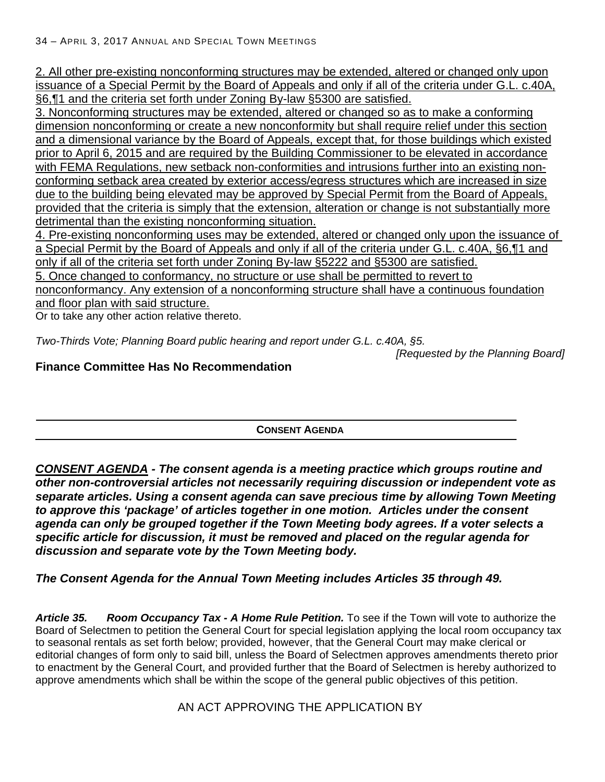2. All other pre-existing nonconforming structures may be extended, altered or changed only upon issuance of a Special Permit by the Board of Appeals and only if all of the criteria under G.L. c.40A, §6,¶1 and the criteria set forth under Zoning By-law §5300 are satisfied.

3. Nonconforming structures may be extended, altered or changed so as to make a conforming dimension nonconforming or create a new nonconformity but shall require relief under this section and a dimensional variance by the Board of Appeals, except that, for those buildings which existed prior to April 6, 2015 and are required by the Building Commissioner to be elevated in accordance with FEMA Regulations, new setback non-conformities and intrusions further into an existing nonconforming setback area created by exterior access/egress structures which are increased in size due to the building being elevated may be approved by Special Permit from the Board of Appeals, provided that the criteria is simply that the extension, alteration or change is not substantially more detrimental than the existing nonconforming situation.

4. Pre-existing nonconforming uses may be extended, altered or changed only upon the issuance of a Special Permit by the Board of Appeals and only if all of the criteria under G.L. c.40A, §6,¶1 and only if all of the criteria set forth under Zoning By-law §5222 and §5300 are satisfied. 5. Once changed to conformancy, no structure or use shall be permitted to revert to nonconformancy. Any extension of a nonconforming structure shall have a continuous foundation and floor plan with said structure.

Or to take any other action relative thereto.

*Two-Thirds Vote; Planning Board public hearing and report under G.L. c.40A, §5.* 

*[Requested by the Planning Board]* 

## **Finance Committee Has No Recommendation**

**CONSENT AGENDA**

*CONSENT AGENDA - The consent agenda is a meeting practice which groups routine and other non-controversial articles not necessarily requiring discussion or independent vote as separate articles. Using a consent agenda can save precious time by allowing Town Meeting to approve this 'package' of articles together in one motion. Articles under the consent agenda can only be grouped together if the Town Meeting body agrees. If a voter selects a specific article for discussion, it must be removed and placed on the regular agenda for discussion and separate vote by the Town Meeting body.* 

*The Consent Agenda for the Annual Town Meeting includes Articles 35 through 49.*

*Article 35. Room Occupancy Tax - A Home Rule Petition.* To see if the Town will vote to authorize the Board of Selectmen to petition the General Court for special legislation applying the local room occupancy tax to seasonal rentals as set forth below; provided, however, that the General Court may make clerical or editorial changes of form only to said bill, unless the Board of Selectmen approves amendments thereto prior to enactment by the General Court, and provided further that the Board of Selectmen is hereby authorized to approve amendments which shall be within the scope of the general public objectives of this petition.

AN ACT APPROVING THE APPLICATION BY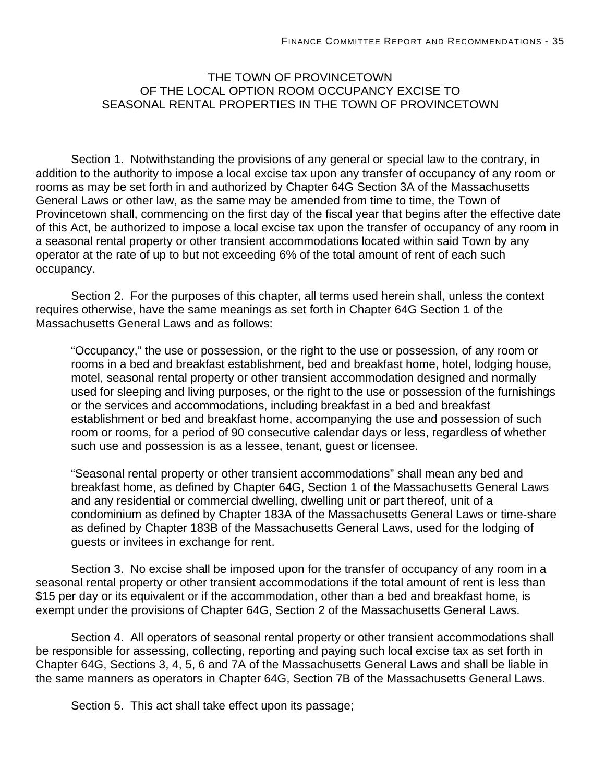## THE TOWN OF PROVINCETOWN OF THE LOCAL OPTION ROOM OCCUPANCY EXCISE TO SEASONAL RENTAL PROPERTIES IN THE TOWN OF PROVINCETOWN

Section 1. Notwithstanding the provisions of any general or special law to the contrary, in addition to the authority to impose a local excise tax upon any transfer of occupancy of any room or rooms as may be set forth in and authorized by Chapter 64G Section 3A of the Massachusetts General Laws or other law, as the same may be amended from time to time, the Town of Provincetown shall, commencing on the first day of the fiscal year that begins after the effective date of this Act, be authorized to impose a local excise tax upon the transfer of occupancy of any room in a seasonal rental property or other transient accommodations located within said Town by any operator at the rate of up to but not exceeding 6% of the total amount of rent of each such occupancy.

Section 2. For the purposes of this chapter, all terms used herein shall, unless the context requires otherwise, have the same meanings as set forth in Chapter 64G Section 1 of the Massachusetts General Laws and as follows:

"Occupancy," the use or possession, or the right to the use or possession, of any room or rooms in a bed and breakfast establishment, bed and breakfast home, hotel, lodging house, motel, seasonal rental property or other transient accommodation designed and normally used for sleeping and living purposes, or the right to the use or possession of the furnishings or the services and accommodations, including breakfast in a bed and breakfast establishment or bed and breakfast home, accompanying the use and possession of such room or rooms, for a period of 90 consecutive calendar days or less, regardless of whether such use and possession is as a lessee, tenant, guest or licensee.

"Seasonal rental property or other transient accommodations" shall mean any bed and breakfast home, as defined by Chapter 64G, Section 1 of the Massachusetts General Laws and any residential or commercial dwelling, dwelling unit or part thereof, unit of a condominium as defined by Chapter 183A of the Massachusetts General Laws or time-share as defined by Chapter 183B of the Massachusetts General Laws, used for the lodging of guests or invitees in exchange for rent.

Section 3. No excise shall be imposed upon for the transfer of occupancy of any room in a seasonal rental property or other transient accommodations if the total amount of rent is less than \$15 per day or its equivalent or if the accommodation, other than a bed and breakfast home, is exempt under the provisions of Chapter 64G, Section 2 of the Massachusetts General Laws.

Section 4. All operators of seasonal rental property or other transient accommodations shall be responsible for assessing, collecting, reporting and paying such local excise tax as set forth in Chapter 64G, Sections 3, 4, 5, 6 and 7A of the Massachusetts General Laws and shall be liable in the same manners as operators in Chapter 64G, Section 7B of the Massachusetts General Laws.

Section 5. This act shall take effect upon its passage;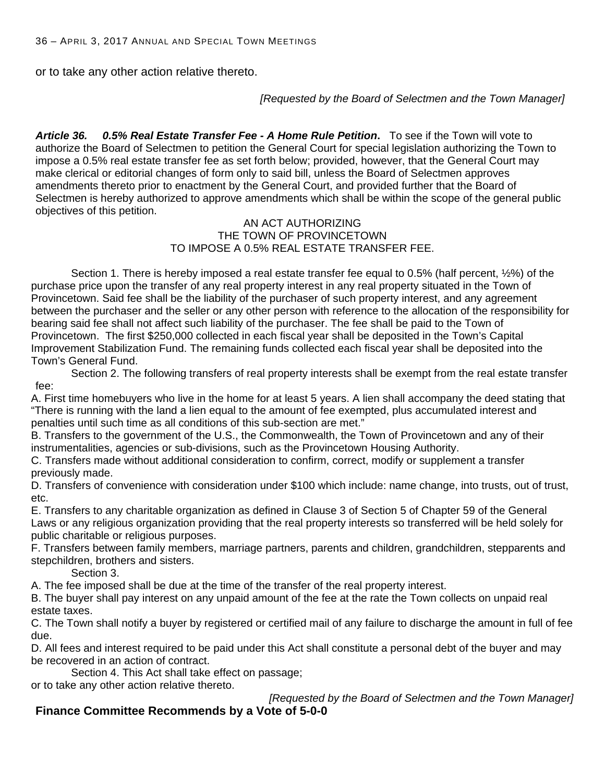or to take any other action relative thereto.

*[Requested by the Board of Selectmen and the Town Manager]* 

*Article 36. 0.5% Real Estate Transfer Fee - A Home Rule Petition***.** To see if the Town will vote to authorize the Board of Selectmen to petition the General Court for special legislation authorizing the Town to impose a 0.5% real estate transfer fee as set forth below; provided, however, that the General Court may make clerical or editorial changes of form only to said bill, unless the Board of Selectmen approves amendments thereto prior to enactment by the General Court, and provided further that the Board of Selectmen is hereby authorized to approve amendments which shall be within the scope of the general public objectives of this petition.

AN ACT AUTHORIZING THE TOWN OF PROVINCETOWN TO IMPOSE A 0.5% REAL ESTATE TRANSFER FEE.

Section 1. There is hereby imposed a real estate transfer fee equal to 0.5% (half percent, ½%) of the purchase price upon the transfer of any real property interest in any real property situated in the Town of Provincetown. Said fee shall be the liability of the purchaser of such property interest, and any agreement between the purchaser and the seller or any other person with reference to the allocation of the responsibility for bearing said fee shall not affect such liability of the purchaser. The fee shall be paid to the Town of Provincetown. The first \$250,000 collected in each fiscal year shall be deposited in the Town's Capital Improvement Stabilization Fund. The remaining funds collected each fiscal year shall be deposited into the Town's General Fund.

Section 2. The following transfers of real property interests shall be exempt from the real estate transfer fee:

A. First time homebuyers who live in the home for at least 5 years. A lien shall accompany the deed stating that "There is running with the land a lien equal to the amount of fee exempted, plus accumulated interest and penalties until such time as all conditions of this sub-section are met."

B. Transfers to the government of the U.S., the Commonwealth, the Town of Provincetown and any of their instrumentalities, agencies or sub-divisions, such as the Provincetown Housing Authority.

C. Transfers made without additional consideration to confirm, correct, modify or supplement a transfer previously made.

D. Transfers of convenience with consideration under \$100 which include: name change, into trusts, out of trust, etc.

E. Transfers to any charitable organization as defined in Clause 3 of Section 5 of Chapter 59 of the General Laws or any religious organization providing that the real property interests so transferred will be held solely for public charitable or religious purposes.

F. Transfers between family members, marriage partners, parents and children, grandchildren, stepparents and stepchildren, brothers and sisters.

Section 3.

A. The fee imposed shall be due at the time of the transfer of the real property interest.

B. The buyer shall pay interest on any unpaid amount of the fee at the rate the Town collects on unpaid real estate taxes.

C. The Town shall notify a buyer by registered or certified mail of any failure to discharge the amount in full of fee due.

D. All fees and interest required to be paid under this Act shall constitute a personal debt of the buyer and may be recovered in an action of contract.

Section 4. This Act shall take effect on passage; or to take any other action relative thereto.

*[Requested by the Board of Selectmen and the Town Manager]* 

## **Finance Committee Recommends by a Vote of 5-0-0**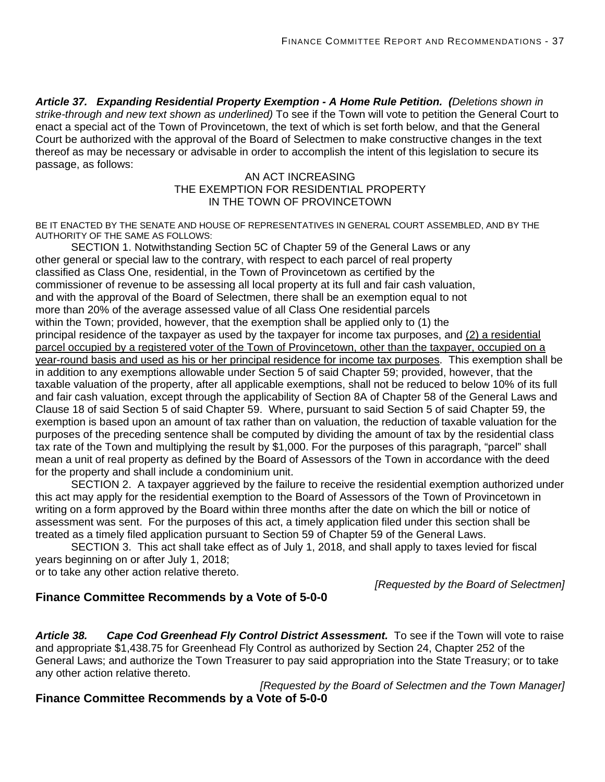*Article 37. Expanding Residential Property Exemption - A Home Rule Petition. (Deletions shown in strike-through and new text shown as underlined)* To see if the Town will vote to petition the General Court to enact a special act of the Town of Provincetown, the text of which is set forth below, and that the General Court be authorized with the approval of the Board of Selectmen to make constructive changes in the text thereof as may be necessary or advisable in order to accomplish the intent of this legislation to secure its passage, as follows:

#### AN ACT INCREASING THE EXEMPTION FOR RESIDENTIAL PROPERTY IN THE TOWN OF PROVINCETOWN

BE IT ENACTED BY THE SENATE AND HOUSE OF REPRESENTATIVES IN GENERAL COURT ASSEMBLED, AND BY THE AUTHORITY OF THE SAME AS FOLLOWS:

SECTION 1. Notwithstanding Section 5C of Chapter 59 of the General Laws or any other general or special law to the contrary, with respect to each parcel of real property classified as Class One, residential, in the Town of Provincetown as certified by the commissioner of revenue to be assessing all local property at its full and fair cash valuation, and with the approval of the Board of Selectmen, there shall be an exemption equal to not more than 20% of the average assessed value of all Class One residential parcels within the Town; provided, however, that the exemption shall be applied only to (1) the principal residence of the taxpayer as used by the taxpayer for income tax purposes, and (2) a residential parcel occupied by a registered voter of the Town of Provincetown, other than the taxpayer, occupied on a year-round basis and used as his or her principal residence for income tax purposes. This exemption shall be in addition to any exemptions allowable under Section 5 of said Chapter 59; provided, however, that the taxable valuation of the property, after all applicable exemptions, shall not be reduced to below 10% of its full and fair cash valuation, except through the applicability of Section 8A of Chapter 58 of the General Laws and Clause 18 of said Section 5 of said Chapter 59. Where, pursuant to said Section 5 of said Chapter 59, the exemption is based upon an amount of tax rather than on valuation, the reduction of taxable valuation for the purposes of the preceding sentence shall be computed by dividing the amount of tax by the residential class tax rate of the Town and multiplying the result by \$1,000. For the purposes of this paragraph, "parcel" shall mean a unit of real property as defined by the Board of Assessors of the Town in accordance with the deed for the property and shall include a condominium unit.

SECTION 2. A taxpayer aggrieved by the failure to receive the residential exemption authorized under this act may apply for the residential exemption to the Board of Assessors of the Town of Provincetown in writing on a form approved by the Board within three months after the date on which the bill or notice of assessment was sent. For the purposes of this act, a timely application filed under this section shall be treated as a timely filed application pursuant to Section 59 of Chapter 59 of the General Laws.

SECTION 3. This act shall take effect as of July 1, 2018, and shall apply to taxes levied for fiscal years beginning on or after July 1, 2018;

or to take any other action relative thereto.

*[Requested by the Board of Selectmen]* 

## **Finance Committee Recommends by a Vote of 5-0-0**

*Article 38. Cape Cod Greenhead Fly Control District Assessment.* To see if the Town will vote to raise and appropriate \$1,438.75 for Greenhead Fly Control as authorized by Section 24, Chapter 252 of the General Laws; and authorize the Town Treasurer to pay said appropriation into the State Treasury; or to take any other action relative thereto.

*[Requested by the Board of Selectmen and the Town Manager]*  **Finance Committee Recommends by a Vote of 5-0-0**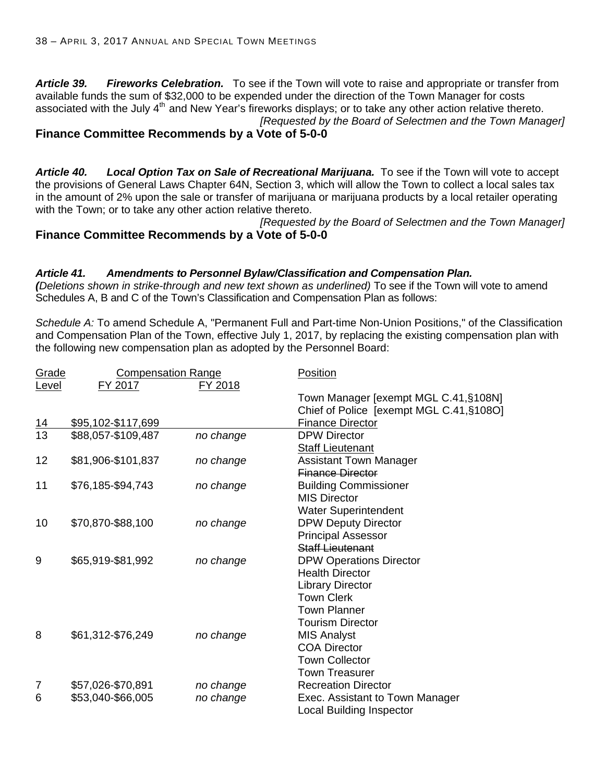*Article 39. Fireworks Celebration.* To see if the Town will vote to raise and appropriate or transfer from available funds the sum of \$32,000 to be expended under the direction of the Town Manager for costs associated with the July  $4<sup>th</sup>$  and New Year's fireworks displays; or to take any other action relative thereto. *[Requested by the Board of Selectmen and the Town Manager]* 

## **Finance Committee Recommends by a Vote of 5-0-0**

Article 40. Local Option Tax on Sale of Recreational Marijuana. To see if the Town will vote to accept the provisions of General Laws Chapter 64N, Section 3, which will allow the Town to collect a local sales tax in the amount of 2% upon the sale or transfer of marijuana or marijuana products by a local retailer operating with the Town; or to take any other action relative thereto.

*[Requested by the Board of Selectmen and the Town Manager]*  **Finance Committee Recommends by a Vote of 5-0-0**

#### *Article 41. Amendments to Personnel Bylaw/Classification and Compensation Plan.*

*(Deletions shown in strike-through and new text shown as underlined)* To see if the Town will vote to amend Schedules A, B and C of the Town's Classification and Compensation Plan as follows:

*Schedule A:* To amend Schedule A, "Permanent Full and Part-time Non-Union Positions," of the Classification and Compensation Plan of the Town, effective July 1, 2017, by replacing the existing compensation plan with the following new compensation plan as adopted by the Personnel Board:

| Grade           | <b>Compensation Range</b> |           | <b>Position</b>                          |
|-----------------|---------------------------|-----------|------------------------------------------|
| <b>Level</b>    | FY 2017                   | FY 2018   |                                          |
|                 |                           |           | Town Manager [exempt MGL C.41, §108N]    |
|                 |                           |           | Chief of Police [exempt MGL C.41, §108O] |
| $\frac{14}{13}$ | \$95,102-\$117,699        |           | <b>Finance Director</b>                  |
|                 | \$88,057-\$109,487        | no change | <b>DPW Director</b>                      |
|                 |                           |           | <b>Staff Lieutenant</b>                  |
| 12              | \$81,906-\$101,837        | no change | <b>Assistant Town Manager</b>            |
|                 |                           |           | <b>Finance Director</b>                  |
| 11              | \$76,185-\$94,743         | no change | <b>Building Commissioner</b>             |
|                 |                           |           | <b>MIS Director</b>                      |
|                 |                           |           | <b>Water Superintendent</b>              |
| 10              | \$70,870-\$88,100         | no change | <b>DPW Deputy Director</b>               |
|                 |                           |           | <b>Principal Assessor</b>                |
|                 |                           |           | <b>Staff Lieutenant</b>                  |
| 9               | \$65,919-\$81,992         | no change | <b>DPW Operations Director</b>           |
|                 |                           |           | <b>Health Director</b>                   |
|                 |                           |           | <b>Library Director</b>                  |
|                 |                           |           | <b>Town Clerk</b>                        |
|                 |                           |           | <b>Town Planner</b>                      |
|                 |                           |           | <b>Tourism Director</b>                  |
| 8               | \$61,312-\$76,249         | no change | <b>MIS Analyst</b>                       |
|                 |                           |           | <b>COA Director</b>                      |
|                 |                           |           | <b>Town Collector</b>                    |
|                 |                           |           | <b>Town Treasurer</b>                    |
| 7               | \$57,026-\$70,891         | no change | <b>Recreation Director</b>               |
| 6               | \$53,040-\$66,005         | no change | Exec. Assistant to Town Manager          |
|                 |                           |           | <b>Local Building Inspector</b>          |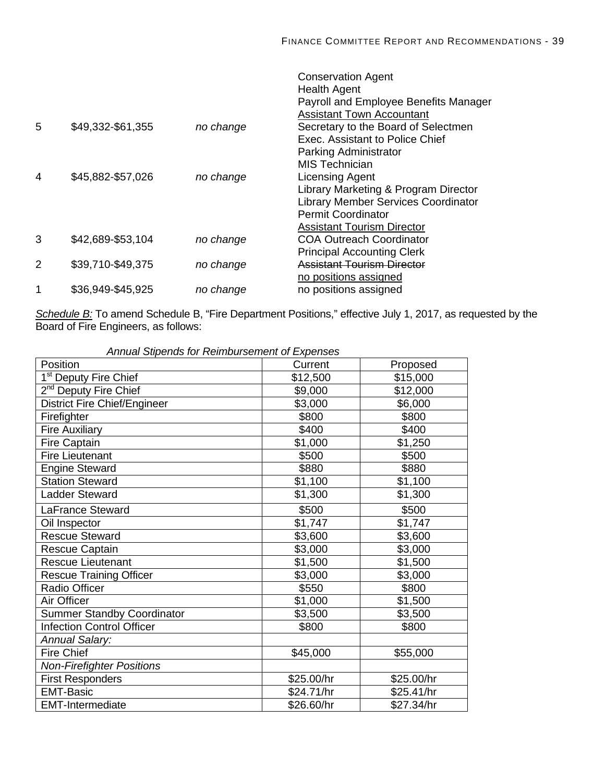|   |                   |           | <b>Conservation Agent</b><br><b>Health Agent</b><br>Payroll and Employee Benefits Manager<br><b>Assistant Town Accountant</b> |
|---|-------------------|-----------|-------------------------------------------------------------------------------------------------------------------------------|
| 5 | \$49,332-\$61,355 | no change | Secretary to the Board of Selectmen                                                                                           |
|   |                   |           | Exec. Assistant to Police Chief<br>Parking Administrator                                                                      |
|   |                   |           | <b>MIS</b> Technician                                                                                                         |
| 4 | \$45,882-\$57,026 | no change | <b>Licensing Agent</b>                                                                                                        |
|   |                   |           | Library Marketing & Program Director                                                                                          |
|   |                   |           | <b>Library Member Services Coordinator</b>                                                                                    |
|   |                   |           | <b>Permit Coordinator</b>                                                                                                     |
|   |                   |           | <b>Assistant Tourism Director</b>                                                                                             |
| 3 | \$42,689-\$53,104 | no change | <b>COA Outreach Coordinator</b>                                                                                               |
|   |                   |           | <b>Principal Accounting Clerk</b>                                                                                             |
| 2 | \$39,710-\$49,375 | no change | Assistant Tourism Director                                                                                                    |
|   |                   |           | no positions assigned                                                                                                         |
|   | \$36,949-\$45,925 | no change | no positions assigned                                                                                                         |

*Schedule B:* To amend Schedule B, "Fire Department Positions," effective July 1, 2017, as requested by the Board of Fire Engineers, as follows:

| Position                            | Current    | Proposed   |
|-------------------------------------|------------|------------|
| 1 <sup>st</sup> Deputy Fire Chief   | \$12,500   | \$15,000   |
| 2 <sup>nd</sup> Deputy Fire Chief   | \$9,000    | \$12,000   |
| <b>District Fire Chief/Engineer</b> | \$3,000    | \$6,000    |
| Firefighter                         | \$800      | \$800      |
| <b>Fire Auxiliary</b>               | \$400      | \$400      |
| <b>Fire Captain</b>                 | \$1,000    | \$1,250    |
| <b>Fire Lieutenant</b>              | \$500      | \$500      |
| <b>Engine Steward</b>               | \$880      | \$880      |
| <b>Station Steward</b>              | \$1,100    | \$1,100    |
| <b>Ladder Steward</b>               | \$1,300    | \$1,300    |
| LaFrance Steward                    | \$500      | \$500      |
| Oil Inspector                       | \$1,747    | \$1,747    |
| <b>Rescue Steward</b>               | \$3,600    | \$3,600    |
| Rescue Captain                      | \$3,000    | \$3,000    |
| Rescue Lieutenant                   | \$1,500    | \$1,500    |
| <b>Rescue Training Officer</b>      | \$3,000    | \$3,000    |
| Radio Officer                       | \$550      | \$800      |
| Air Officer                         | \$1,000    | \$1,500    |
| <b>Summer Standby Coordinator</b>   | \$3,500    | \$3,500    |
| <b>Infection Control Officer</b>    | \$800      | \$800      |
| <b>Annual Salary:</b>               |            |            |
| <b>Fire Chief</b>                   | \$45,000   | \$55,000   |
| <b>Non-Firefighter Positions</b>    |            |            |
| <b>First Responders</b>             | \$25.00/hr | \$25.00/hr |
| <b>EMT-Basic</b>                    | \$24.71/hr | \$25.41/hr |
| <b>EMT-Intermediate</b>             | \$26.60/hr | \$27.34/hr |

*Annual Stipends for Reimbursement of Expenses*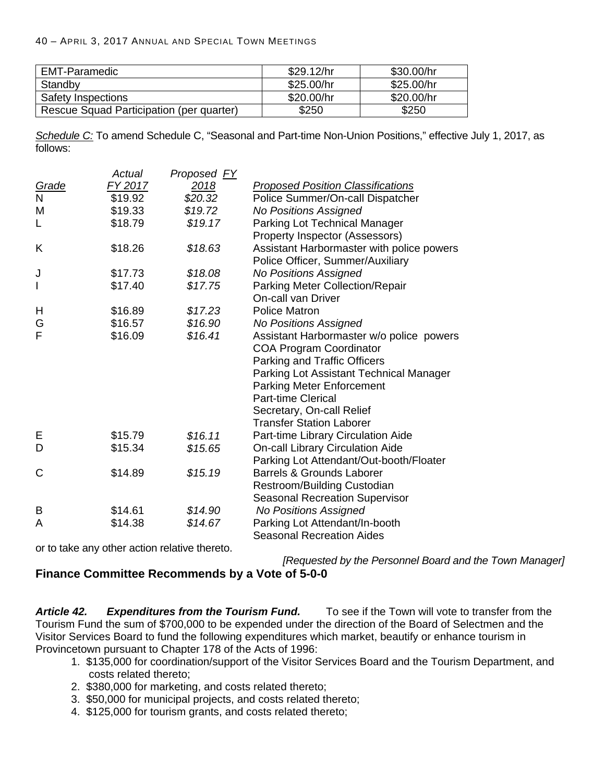#### 40 – APRIL 3, 2017 ANNUAL AND SPECIAL TOWN MEETINGS

| EMT-Paramedic                            | \$29.12/hr | \$30.00/hr |
|------------------------------------------|------------|------------|
| Standby                                  | \$25.00/hr | \$25.00/hr |
| Safety Inspections                       | \$20.00/hr | \$20.00/hr |
| Rescue Squad Participation (per quarter) | \$250      | \$250      |

*Schedule C:* To amend Schedule C, "Seasonal and Part-time Non-Union Positions," effective July 1, 2017, as follows:

|              | Actual         | Proposed FY  |                                           |
|--------------|----------------|--------------|-------------------------------------------|
| <u>Grade</u> | <u>FY 2017</u> | <u> 2018</u> | <b>Proposed Position Classifications</b>  |
| N            | \$19.92        | \$20.32      | Police Summer/On-call Dispatcher          |
| M            | \$19.33        | \$19.72      | <b>No Positions Assigned</b>              |
| Г            | \$18.79        | \$19.17      | Parking Lot Technical Manager             |
|              |                |              | Property Inspector (Assessors)            |
| Κ            | \$18.26        | \$18.63      | Assistant Harbormaster with police powers |
|              |                |              | Police Officer, Summer/Auxiliary          |
| J            | \$17.73        | \$18.08      | <b>No Positions Assigned</b>              |
| I            | \$17.40        | \$17.75      | <b>Parking Meter Collection/Repair</b>    |
|              |                |              | <b>On-call van Driver</b>                 |
| H            | \$16.89        | \$17.23      | <b>Police Matron</b>                      |
| G            | \$16.57        | \$16.90      | <b>No Positions Assigned</b>              |
| F            | \$16.09        | \$16.41      | Assistant Harbormaster w/o police powers  |
|              |                |              | <b>COA Program Coordinator</b>            |
|              |                |              | Parking and Traffic Officers              |
|              |                |              | Parking Lot Assistant Technical Manager   |
|              |                |              | <b>Parking Meter Enforcement</b>          |
|              |                |              | <b>Part-time Clerical</b>                 |
|              |                |              | Secretary, On-call Relief                 |
|              |                |              | <b>Transfer Station Laborer</b>           |
| Е            | \$15.79        | \$16.11      | Part-time Library Circulation Aide        |
| D            | \$15.34        | \$15.65      | <b>On-call Library Circulation Aide</b>   |
|              |                |              | Parking Lot Attendant/Out-booth/Floater   |
| C            | \$14.89        | \$15.19      | Barrels & Grounds Laborer                 |
|              |                |              | Restroom/Building Custodian               |
|              |                |              | <b>Seasonal Recreation Supervisor</b>     |
| B            | \$14.61        | \$14.90      | <b>No Positions Assigned</b>              |
| A            | \$14.38        | \$14.67      | Parking Lot Attendant/In-booth            |
|              |                |              | <b>Seasonal Recreation Aides</b>          |

or to take any other action relative thereto.

*[Requested by the Personnel Board and the Town Manager]* 

## **Finance Committee Recommends by a Vote of 5-0-0**

*Article 42. Expenditures from the Tourism Fund.* To see if the Town will vote to transfer from the Tourism Fund the sum of \$700,000 to be expended under the direction of the Board of Selectmen and the Visitor Services Board to fund the following expenditures which market, beautify or enhance tourism in Provincetown pursuant to Chapter 178 of the Acts of 1996:

- 1. \$135,000 for coordination/support of the Visitor Services Board and the Tourism Department, and costs related thereto;
- 2. \$380,000 for marketing, and costs related thereto;
- 3. \$50,000 for municipal projects, and costs related thereto;
- 4. \$125,000 for tourism grants, and costs related thereto;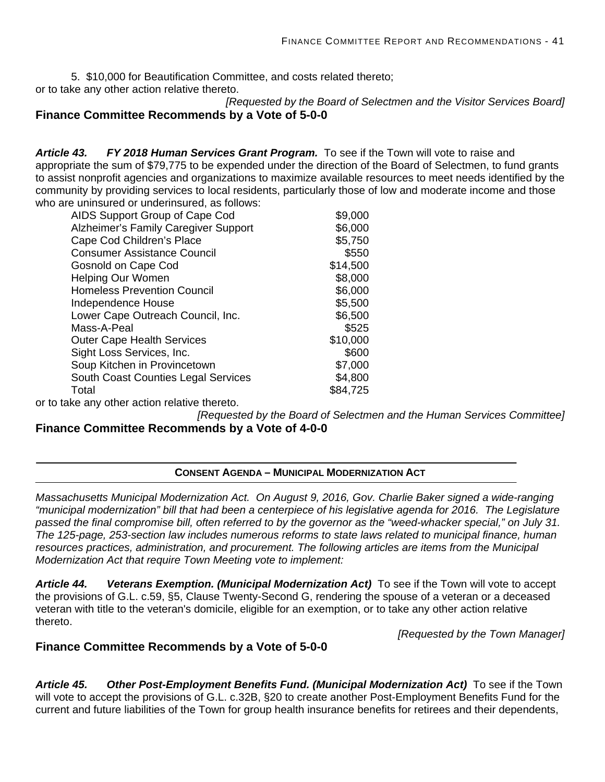5. \$10,000 for Beautification Committee, and costs related thereto; or to take any other action relative thereto.

*[Requested by the Board of Selectmen and the Visitor Services Board]*  **Finance Committee Recommends by a Vote of 5-0-0**

*Article 43. FY 2018 Human Services Grant Program.* To see if the Town will vote to raise and appropriate the sum of \$79,775 to be expended under the direction of the Board of Selectmen, to fund grants to assist nonprofit agencies and organizations to maximize available resources to meet needs identified by the community by providing services to local residents, particularly those of low and moderate income and those who are uninsured or underinsured, as follows:

| AIDS Support Group of Cape Cod        | \$9,000  |
|---------------------------------------|----------|
| Alzheimer's Family Caregiver Support  | \$6,000  |
| Cape Cod Children's Place             | \$5,750  |
| <b>Consumer Assistance Council</b>    | \$550    |
| Gosnold on Cape Cod                   | \$14,500 |
| <b>Helping Our Women</b>              | \$8,000  |
| <b>Homeless Prevention Council</b>    | \$6,000  |
| Independence House                    | \$5,500  |
| Lower Cape Outreach Council, Inc.     | \$6,500  |
| Mass-A-Peal                           | \$525    |
| <b>Outer Cape Health Services</b>     | \$10,000 |
| Sight Loss Services, Inc.             | \$600    |
| Soup Kitchen in Provincetown          | \$7,000  |
| South Coast Counties Legal Services   | \$4,800  |
| Total                                 | \$84,725 |
| ika any athar astian ralativa tharata |          |

or to take any other action relative thereto.

*[Requested by the Board of Selectmen and the Human Services Committee]*  **Finance Committee Recommends by a Vote of 4-0-0**

#### **CONSENT AGENDA – MUNICIPAL MODERNIZATION ACT**

*Massachusetts Municipal Modernization Act. On August 9, 2016, Gov. Charlie Baker signed a wide-ranging "municipal modernization" bill that had been a centerpiece of his legislative agenda for 2016. The Legislature passed the final compromise bill, often referred to by the governor as the "weed-whacker special," on July 31. The 125-page, 253-section law includes numerous reforms to state laws related to municipal finance, human resources practices, administration, and procurement. The following articles are items from the Municipal Modernization Act that require Town Meeting vote to implement:* 

Article 44. Veterans Exemption. (Municipal Modernization Act) To see if the Town will vote to accept the provisions of G.L. c.59, §5, Clause Twenty-Second G, rendering the spouse of a veteran or a deceased veteran with title to the veteran's domicile, eligible for an exemption, or to take any other action relative thereto.

*[Requested by the Town Manager]* 

#### **Finance Committee Recommends by a Vote of 5-0-0**

Article 45. Other Post-Employment Benefits Fund. (Municipal Modernization Act) To see if the Town will vote to accept the provisions of G.L. c.32B, §20 to create another Post-Employment Benefits Fund for the current and future liabilities of the Town for group health insurance benefits for retirees and their dependents,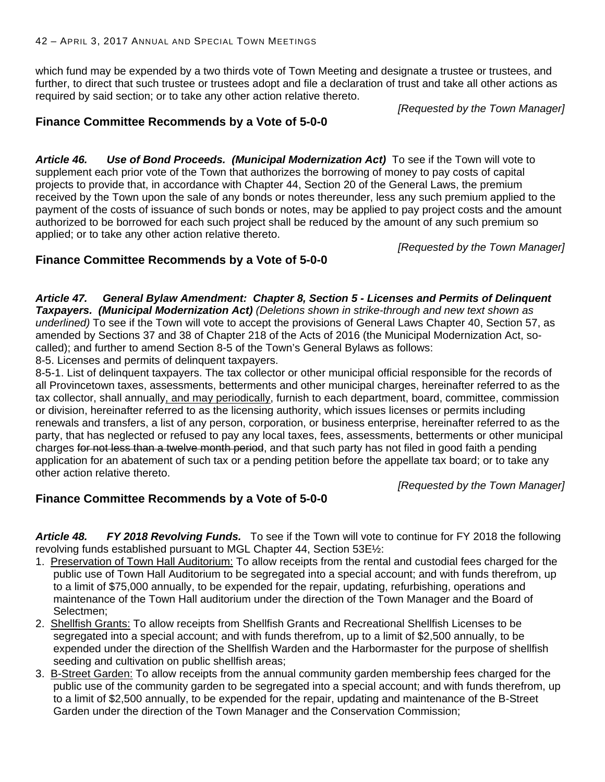which fund may be expended by a two thirds vote of Town Meeting and designate a trustee or trustees, and further, to direct that such trustee or trustees adopt and file a declaration of trust and take all other actions as required by said section; or to take any other action relative thereto.

*[Requested by the Town Manager]* 

### **Finance Committee Recommends by a Vote of 5-0-0**

*Article 46. Use of Bond Proceeds. (Municipal Modernization Act)* To see if the Town will vote to supplement each prior vote of the Town that authorizes the borrowing of money to pay costs of capital projects to provide that, in accordance with Chapter 44, Section 20 of the General Laws, the premium received by the Town upon the sale of any bonds or notes thereunder, less any such premium applied to the payment of the costs of issuance of such bonds or notes, may be applied to pay project costs and the amount authorized to be borrowed for each such project shall be reduced by the amount of any such premium so applied; or to take any other action relative thereto.

*[Requested by the Town Manager]* 

## **Finance Committee Recommends by a Vote of 5-0-0**

*Article 47. General Bylaw Amendment: Chapter 8, Section 5 - Licenses and Permits of Delinquent Taxpayers. (Municipal Modernization Act) (Deletions shown in strike-through and new text shown as underlined)* To see if the Town will vote to accept the provisions of General Laws Chapter 40, Section 57, as amended by Sections 37 and 38 of Chapter 218 of the Acts of 2016 (the Municipal Modernization Act, socalled); and further to amend Section 8-5 of the Town's General Bylaws as follows:

8-5. Licenses and permits of delinquent taxpayers.

8-5-1. List of delinquent taxpayers. The tax collector or other municipal official responsible for the records of all Provincetown taxes, assessments, betterments and other municipal charges, hereinafter referred to as the tax collector, shall annually, and may periodically, furnish to each department, board, committee, commission or division, hereinafter referred to as the licensing authority, which issues licenses or permits including renewals and transfers, a list of any person, corporation, or business enterprise, hereinafter referred to as the party, that has neglected or refused to pay any local taxes, fees, assessments, betterments or other municipal charges for not less than a twelve month period, and that such party has not filed in good faith a pending application for an abatement of such tax or a pending petition before the appellate tax board; or to take any other action relative thereto.

*[Requested by the Town Manager]* 

## **Finance Committee Recommends by a Vote of 5-0-0**

*Article 48. FY 2018 Revolving Funds.* To see if the Town will vote to continue for FY 2018 the following revolving funds established pursuant to MGL Chapter 44, Section 53E½:

- 1. Preservation of Town Hall Auditorium: To allow receipts from the rental and custodial fees charged for the public use of Town Hall Auditorium to be segregated into a special account; and with funds therefrom, up to a limit of \$75,000 annually, to be expended for the repair, updating, refurbishing, operations and maintenance of the Town Hall auditorium under the direction of the Town Manager and the Board of Selectmen;
- 2. Shellfish Grants: To allow receipts from Shellfish Grants and Recreational Shellfish Licenses to be segregated into a special account; and with funds therefrom, up to a limit of \$2,500 annually, to be expended under the direction of the Shellfish Warden and the Harbormaster for the purpose of shellfish seeding and cultivation on public shellfish areas;
- 3. B-Street Garden: To allow receipts from the annual community garden membership fees charged for the public use of the community garden to be segregated into a special account; and with funds therefrom, up to a limit of \$2,500 annually, to be expended for the repair, updating and maintenance of the B-Street Garden under the direction of the Town Manager and the Conservation Commission;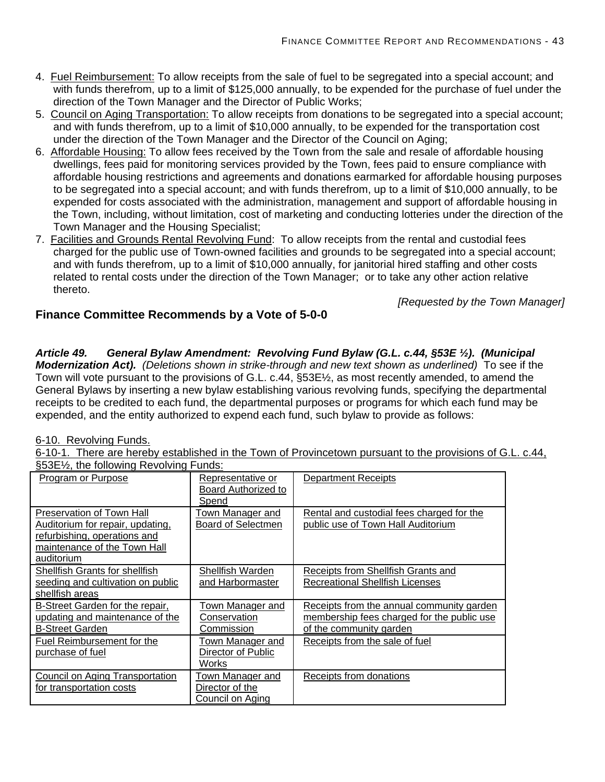- 4. Fuel Reimbursement: To allow receipts from the sale of fuel to be segregated into a special account; and with funds therefrom, up to a limit of \$125,000 annually, to be expended for the purchase of fuel under the direction of the Town Manager and the Director of Public Works;
- 5. Council on Aging Transportation: To allow receipts from donations to be segregated into a special account; and with funds therefrom, up to a limit of \$10,000 annually, to be expended for the transportation cost under the direction of the Town Manager and the Director of the Council on Aging;
- 6. Affordable Housing: To allow fees received by the Town from the sale and resale of affordable housing dwellings, fees paid for monitoring services provided by the Town, fees paid to ensure compliance with affordable housing restrictions and agreements and donations earmarked for affordable housing purposes to be segregated into a special account; and with funds therefrom, up to a limit of \$10,000 annually, to be expended for costs associated with the administration, management and support of affordable housing in the Town, including, without limitation, cost of marketing and conducting lotteries under the direction of the Town Manager and the Housing Specialist;
- 7. Facilities and Grounds Rental Revolving Fund: To allow receipts from the rental and custodial fees charged for the public use of Town-owned facilities and grounds to be segregated into a special account; and with funds therefrom, up to a limit of \$10,000 annually, for janitorial hired staffing and other costs related to rental costs under the direction of the Town Manager; or to take any other action relative thereto.

*[Requested by the Town Manager]* 

## **Finance Committee Recommends by a Vote of 5-0-0**

*Article 49. General Bylaw Amendment: Revolving Fund Bylaw (G.L. c.44, §53E ½). (Municipal Modernization Act). (Deletions shown in strike-through and new text shown as underlined)* To see if the Town will vote pursuant to the provisions of G.L. c.44, §53E½, as most recently amended, to amend the General Bylaws by inserting a new bylaw establishing various revolving funds, specifying the departmental receipts to be credited to each fund, the departmental purposes or programs for which each fund may be expended, and the entity authorized to expend each fund, such bylaw to provide as follows:

#### 6-10. Revolving Funds.

6-10-1. There are hereby established in the Town of Provincetown pursuant to the provisions of G.L. c.44, §53E½, the following Revolving Funds:

| $\frac{1}{2}$                                                                                                                               |                                                         |                                                                                                                    |
|---------------------------------------------------------------------------------------------------------------------------------------------|---------------------------------------------------------|--------------------------------------------------------------------------------------------------------------------|
| Program or Purpose                                                                                                                          | Representative or<br>Board Authorized to<br>Spend       | <b>Department Receipts</b>                                                                                         |
| Preservation of Town Hall<br>Auditorium for repair, updating,<br>refurbishing, operations and<br>maintenance of the Town Hall<br>auditorium | Town Manager and<br><b>Board of Selectmen</b>           | Rental and custodial fees charged for the<br>public use of Town Hall Auditorium                                    |
| Shellfish Grants for shellfish<br>seeding and cultivation on public<br>shellfish areas                                                      | Shellfish Warden<br>and Harbormaster                    | Receipts from Shellfish Grants and<br><b>Recreational Shellfish Licenses</b>                                       |
| B-Street Garden for the repair,<br>updating and maintenance of the<br><b>B-Street Garden</b>                                                | Town Manager and<br>Conservation<br>Commission          | Receipts from the annual community garden<br>membership fees charged for the public use<br>of the community garden |
| Fuel Reimbursement for the<br>purchase of fuel                                                                                              | Town Manager and<br>Director of Public<br>Works         | Receipts from the sale of fuel                                                                                     |
| Council on Aging Transportation<br>for transportation costs                                                                                 | Town Manager and<br>Director of the<br>Council on Aging | Receipts from donations                                                                                            |